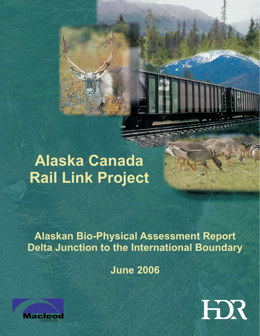# **Alaska Canada Rail Link Project**

**Alaskan Bio-Physical Assessment Report Delta Junction to the International Boundary**

**June 2006**



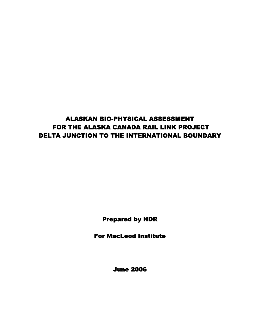# ALASKAN BIO-PHYSICAL ASSESSMENT FOR THE ALASKA CANADA RAIL LINK PROJECT DELTA JUNCTION TO THE INTERNATIONAL BOUNDARY

Prepared by HDR

For MacLeod Institute

June 2006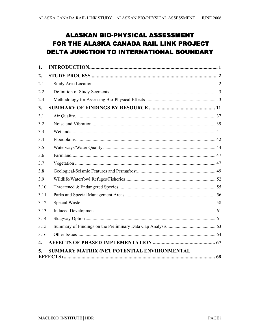# **ALASKAN BIO-PHYSICAL ASSESSMENT** FOR THE ALASKA CANADA RAIL LINK PROJECT **DELTA JUNCTION TO INTERNATIONAL BOUNDARY**

| 1.   |                                             |  |
|------|---------------------------------------------|--|
| 2.   |                                             |  |
| 2.1  |                                             |  |
| 2.2  |                                             |  |
| 2.3  |                                             |  |
| 3.   |                                             |  |
| 3.1  |                                             |  |
| 3.2  |                                             |  |
| 3.3  |                                             |  |
| 3.4  |                                             |  |
| 3.5  |                                             |  |
| 3.6  |                                             |  |
| 3.7  |                                             |  |
| 3.8  |                                             |  |
| 3.9  |                                             |  |
| 3.10 |                                             |  |
| 3.11 |                                             |  |
| 3.12 |                                             |  |
| 3.13 |                                             |  |
| 3.14 |                                             |  |
| 3.15 |                                             |  |
| 3.16 |                                             |  |
| 4.   |                                             |  |
| 5.   | SUMMARY MATRIX (NET POTENTIAL ENVIRONMENTAL |  |
|      |                                             |  |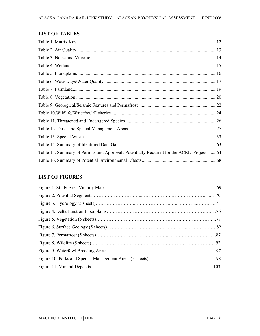### **LIST OF TABLES**

| Table 15. Summary of Permits and Approvals Potentially Required for the ACRL Project  64 |  |
|------------------------------------------------------------------------------------------|--|
|                                                                                          |  |

### **LIST OF FIGURES**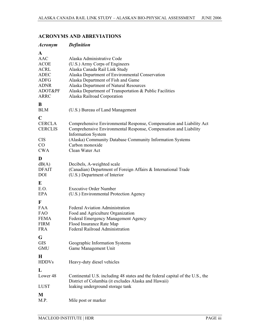### *Acronym Definition*  **A**<br>AAC Alaska Administrative Code ACOE (U.S.) Army Corps of Engineers ACRL Alaska Canada Rail Link Study ADEC Alaska Department of Environmental Conservation ADFG Alaska Department of Fish and Game ADNR Alaska Department of Natural Resources<br>ADOT&PF Alaska Department of Transportation & P ADOT&PF Alaska Department of Transportation & Public Facilities<br>ARRC Alaska Railroad Corporation Alaska Railroad Corporation **B** (U.S.) Bureau of Land Management  $\mathbb{C}$ CERCLA Comprehensive Environmental Response, Compensation and Liability Act CERCLIS Comprehensive Environmental Response, Compensation and Liability Information System CIS (Alaska) Community Database Community Information Systems CO Carbon monoxide CWA Clean Water Act **D** dB(A) Decibels, A-weighted scale<br>DFAIT (Canadian) Department of F (Canadian) Department of Foreign Affairs  $&$  International Trade DOI (U.S.) Department of Interior **E** Executive Order Number EPA (U.S.) Environmental Protection Agency  $\mathbf{F}$ <br>**FAA** Federal Aviation Administration FAO Food and Agriculture Organization FEMA Federal Emergency Management Agency<br>FIRM Flood Insurance Rate Man FIRM Flood Insurance Rate Map<br>FRA Federal Railroad Administr Federal Railroad Administration **G** GIS Geographic Information Systems<br>
GMU Game Management Unit Game Management Unit **H**<br>HDDVs Heavy-duty diesel vehicles **L** Lower 48 Continental U.S. including 48 states and the federal capital of the U.S., the District of Columbia (it excludes Alaska and Hawaii) LUST leaking underground storage tank **M**<br>M.P. Mile post or marker

#### **ACRONYMS AND ABREVIATIONS**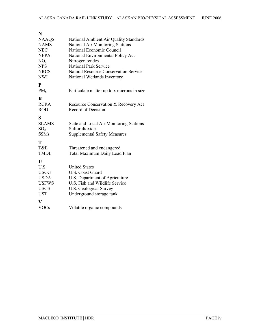| National Ambient Air Quality Standards       |
|----------------------------------------------|
| <b>National Air Monitoring Stations</b>      |
| National Economic Council                    |
| National Environmental Policy Act            |
| Nitrogen oxides                              |
| <b>National Park Service</b>                 |
| <b>Natural Resource Conservation Service</b> |
| National Wetlands Inventory                  |
|                                              |
| Particulate matter up to x microns in size   |
|                                              |
| Resource Conservation & Recovery Act         |
| Record of Decision                           |
|                                              |
| State and Local Air Monitoring Stations      |
| Sulfur dioxide                               |
| <b>Supplemental Safety Measures</b>          |
|                                              |
| Threatened and endangered                    |
| Total Maximum Daily Load Plan                |
|                                              |
| <b>United States</b>                         |
| U.S. Coast Guard                             |
| U.S. Department of Agriculture               |
| U.S. Fish and Wildlife Service               |
| U.S. Geological Survey                       |
| Underground storage tank                     |
|                                              |
|                                              |
|                                              |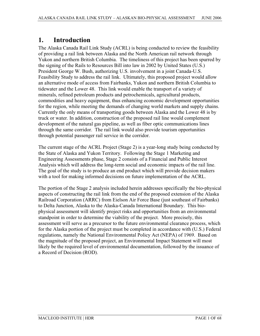### **1. Introduction**

The Alaska Canada Rail Link Study (ACRL) is being conducted to review the feasibility of providing a rail link between Alaska and the North American rail network through Yukon and northern British Columbia. The timeliness of this project has been spurred by the signing of the Rails to Resources Bill into law in 2002 by United States (U.S.) President George W. Bush, authorizing U.S. involvement in a joint Canada-U.S. Feasibility Study to address the rail link. Ultimately, this proposed project would allow an alternative mode of access from Fairbanks, Yukon and northern British Columbia to tidewater and the Lower 48. This link would enable the transport of a variety of minerals, refined petroleum products and petrochemicals, agricultural products, commodities and heavy equipment, thus enhancing economic development opportunities for the region, while meeting the demands of changing world markets and supply chains. Currently the only means of transporting goods between Alaska and the Lower 48 is by truck or water. In addition, construction of the proposed rail line would complement development of the natural gas pipeline, as well as fiber optic communications lines through the same corridor. The rail link would also provide tourism opportunities through potential passenger rail service in the corridor.

The current stage of the ACRL Project (Stage 2) is a year-long study being conducted by the State of Alaska and Yukon Territory. Following the Stage 1 Marketing and Engineering Assessments phase, Stage 2 consists of a Financial and Public Interest Analysis which will address the long-term social and economic impacts of the rail line. The goal of the study is to produce an end product which will provide decision makers with a tool for making informed decisions on future implementation of the ACRL.

The portion of the Stage 2 analysis included herein addresses specifically the bio-physical aspects of constructing the rail link from the end of the proposed extension of the Alaska Railroad Corporation (ARRC) from Eielson Air Force Base (just southeast of Fairbanks) to Delta Junction, Alaska to the Alaska-Canada International Boundary. This biophysical assessment will identify project risks and opportunities from an environmental standpoint in order to determine the viability of the project. More precisely, this assessment will serve as a precursor to the future environmental clearance process, which for the Alaska portion of the project must be completed in accordance with (U.S.) Federal regulations, namely the National Environmental Policy Act (NEPA) of 1969. Based on the magnitude of the proposed project, an Environmental Impact Statement will most likely be the required level of environmental documentation, followed by the issuance of a Record of Decision (ROD).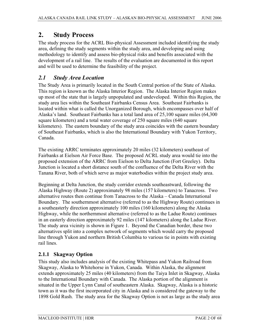### **2. Study Process**

The study process for the ACRL Bio-physical Assessment included identifying the study area, defining the study segments within the study area, and developing and using methodology to identify and assess bio-physical risks and benefits associated with the development of a rail line. The results of the evaluation are documented in this report and will be used to determine the feasibility of the project.

### *2.1 Study Area Location*

The Study Area is primarily located in the South Central portion of the State of Alaska. This region is known as the Alaska Interior Region. The Alaska Interior Region makes up most of the state that is largely unpopulated and undeveloped. Within this Region, the study area lies within the Southeast Fairbanks Census Area. Southeast Fairbanks is located within what is called the Unorganized Borough, which encompasses over half of Alaska's land. Southeast Fairbanks has a total land area of 25,100 square miles (64,300 square kilometers) and a total water coverage of 250 square miles (640 square kilometers). The eastern boundary of the study area coincides with the eastern boundary of Southeast Fairbanks, which is also the International Boundary with Yukon Territory, Canada.

The existing ARRC terminates approximately 20 miles (32 kilometers) southeast of Fairbanks at Eielson Air Force Base. The proposed ACRL study area would tie into the proposed extension of the ARRC from Eielson to Delta Junction (Fort Greeley). Delta Junction is located a short distance south of the confluence of the Delta River with the Tanana River, both of which serve as major waterbodies within the project study area.

Beginning at Delta Junction, the study corridor extends southeastward, following the Alaska Highway (Route 2) approximately 98 miles (157 kilometers) to Tanacross. Two alternative routes then continue from Tanacross to the Alaska – Canada International Boundary. The southernmost alternative (referred to as the Highway Route) continues in a southeasterly direction approximately 100 miles (160 kilometers) along the Alaska Highway, while the northernmost alternative (referred to as the Ladue Route) continues in an easterly direction approximately 92 miles (147 kilometers) along the Ladue River. The study area vicinity is shown in Figure 1. Beyond the Canadian border, these two alternatives split into a complex network of segments which would carry the proposed line through Yukon and northern British Columbia to various tie in points with existing rail lines.

### **2.1.1 Skagway Option**

This study also includes analysis of the existing Whitepass and Yukon Railroad from Skagway, Alaska to Whitehorse in Yukon, Canada. Within Alaska, the alignment extends approximately 25 miles (40 kilometers) from the Taiya Inlet in Skagway, Alaska to the International Boundary with Canada. The Alaska portion of the alignment is situated in the Upper Lynn Canal of southeastern Alaska. Skagway, Alaska is a historic town as it was the first incorporated city in Alaska and is considered the gateway to the 1898 Gold Rush. The study area for the Skagway Option is not as large as the study area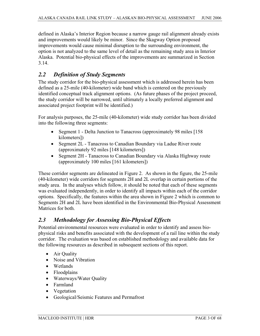defined in Alaska's Interior Region because a narrow gauge rail alignment already exists and improvements would likely be minor. Since the Skagway Option proposed improvements would cause minimal disruption to the surrounding environment, the option is not analyzed to the same level of detail as the remaining study area in Interior Alaska. Potential bio-physical effects of the improvements are summarized in Section 3.14.

### *2.2 Definition of Study Segments*

The study corridor for the bio-physical assessment which is addressed herein has been defined as a 25-mile (40-kilometer) wide band which is centered on the previously identified conceptual track alignment options. (As future phases of the project proceed, the study corridor will be narrowed, until ultimately a locally preferred alignment and associated project footprint will be identified.)

For analysis purposes, the 25-mile (40-kilometer) wide study corridor has been divided into the following three segments:

- Segment 1 Delta Junction to Tanacross (approximately 98 miles [158] kilometers])
- Segment 2L Tanacross to Canadian Boundary via Ladue River route (approximately 92 miles [148 kilometers])
- Segment 2H Tanacross to Canadian Boundary via Alaska Highway route (approximately 100 miles [161 kilometers])

These corridor segments are delineated in Figure 2. As shown in the figure, the 25-mile (40-kilometer) wide corridors for segments 2H and 2L overlap in certain portions of the study area. In the analyses which follow, it should be noted that each of these segments was evaluated independently, in order to identify all impacts within each of the corridor options. Specifically, the features within the area shown in Figure 2 which is common to Segments 2H and 2L have been identified in the Environmental Bio-Physical Assessment Matrices for both.

### *2.3 Methodology for Assessing Bio-Physical Effects*

Potential environmental resources were evaluated in order to identify and assess biophysical risks and benefits associated with the development of a rail line within the study corridor. The evaluation was based on established methodology and available data for the following resources as described in subsequent sections of this report.

- $\bullet$  Air Quality
- Noise and Vibration
- Wetlands
- Floodplains
- Waterways/Water Quality
- Farmland
- Vegetation
- Geological/Seismic Features and Permafrost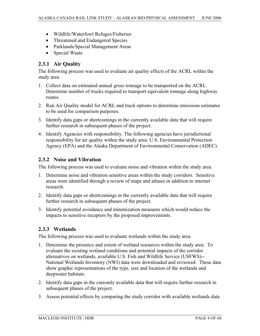- Wildlife/Waterfowl Refuges/Fisheries
- Threatened and Endangered Species
- Parklands/Special Management Areas
- Special Waste

### **2.3.1 Air Quality**

The following process was used to evaluate air quality effects of the ACRL within the study area.

- 1. Collect data on estimated annual gross tonnage to be transported on the ACRL. Determine number of trucks required to transport equivalent tonnage along highway routes.
- 2. Run Air Quality model for ACRL and truck options to determine emissions estimates to be used for comparison purposes.
- 3. Identify data gaps or shortcomings in the currently available data that will require further research in subsequent phases of the project.
- 4. Identify Agencies with responsibility. The following agencies have jurisdictional responsibility for air quality within the study area: U.S. Environmental Protection Agency (EPA) and the Alaska Department of Environmental Conservation (ADEC).

#### **2.3.2 Noise and Vibration**

The following process was used to evaluate noise and vibration within the study area.

- 1. Determine noise and vibration sensitive areas within the study corridors. Sensitive areas were identified through a review of maps and atlases in addition to internet research.
- 2. Identify data gaps or shortcomings in the currently available data that will require further research in subsequent phases of the project.
- 3. Identify potential avoidance and minimization measures which would reduce the impacts to sensitive receptors by the proposed improvements.

### **2.3.3 Wetlands**

The following process was used to evaluate wetlands within the study area.

- 1. Determine the presence and extent of wetland resources within the study area. To evaluate the existing wetland conditions and potential impacts of the corridor alternatives on wetlands, available U.S. Fish and Wildlife Service (USFWS)-- National Wetlands Inventory (NWI) data were downloaded and reviewed. These data show graphic representations of the type, size and location of the wetlands and deepwater habitats.
- 2. Identify data gaps in the currently available data that will require further research in subsequent phases of the project.
- 3. Assess potential effects by comparing the study corridor with available wetlands data.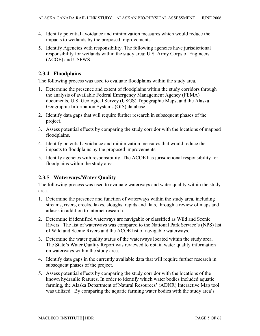- 4. Identify potential avoidance and minimization measures which would reduce the impacts to wetlands by the proposed improvements.
- 5. Identify Agencies with responsibility. The following agencies have jurisdictional responsibility for wetlands within the study area: U.S. Army Corps of Engineers (ACOE) and USFWS.

### **2.3.4 Floodplains**

The following process was used to evaluate floodplains within the study area.

- 1. Determine the presence and extent of floodplains within the study corridors through the analysis of available Federal Emergency Management Agency (FEMA) documents, U.S. Geological Survey (USGS) Topographic Maps, and the Alaska Geographic Information Systems (GIS) database.
- 2. Identify data gaps that will require further research in subsequent phases of the project.
- 3. Assess potential effects by comparing the study corridor with the locations of mapped floodplains.
- 4. Identify potential avoidance and minimization measures that would reduce the impacts to floodplains by the proposed improvements.
- 5. Identify agencies with responsibility. The ACOE has jurisdictional responsibility for floodplains within the study area.

### **2.3.5 Waterways/Water Quality**

The following process was used to evaluate waterways and water quality within the study area.

- 1. Determine the presence and function of waterways within the study area, including streams, rivers, creeks, lakes, sloughs, rapids and flats, through a review of maps and atlases in addition to internet research.
- 2. Determine if identified waterways are navigable or classified as Wild and Scenic Rivers. The list of waterways was compared to the National Park Service's (NPS) list of Wild and Scenic Rivers and the ACOE list of navigable waterways.
- 3. Determine the water quality status of the waterways located within the study area. The State's Water Quality Report was reviewed to obtain water quality information on waterways within the study area.
- 4. Identify data gaps in the currently available data that will require further research in subsequent phases of the project.
- 5. Assess potential effects by comparing the study corridor with the locations of the known hydraulic features. In order to identify which water bodies included aquatic farming, the Alaska Department of Natural Resources' (ADNR) Interactive Map tool was utilized. By comparing the aquatic farming water bodies with the study area's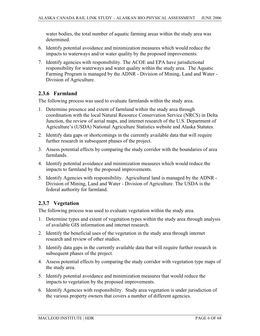water bodies, the total number of aquatic farming areas within the study area was determined.

- 6. Identify potential avoidance and minimization measures which would reduce the impacts to waterways and/or water quality by the proposed improvements.
- 7. Identify agencies with responsibility. The ACOE and EPA have jurisdictional responsibility for waterways and water quality within the study area. The Aquatic Farming Program is managed by the ADNR - Division of Mining, Land and Water - Division of Agriculture.

### **2.3.6 Farmland**

The following process was used to evaluate farmlands within the study area.

- 1. Determine presence and extent of farmland within the study area through coordination with the local Natural Resource Conservation Service (NRCS) in Delta Junction, the review of aerial maps, and internet research of the U.S. Department of Agriculture's (USDA) National Agriculture Statistics website and Alaska Statutes.
- 2. Identify data gaps or shortcomings in the currently available data that will require further research in subsequent phases of the project.
- 3. Assess potential effects by comparing the study corridor with the boundaries of area farmlands.
- 4. Identify potential avoidance and minimization measures which would reduce the impacts to farmland by the proposed improvements.
- 5. Identify Agencies with responsibility. Agricultural land is managed by the ADNR Division of Mining, Land and Water - Division of Agriculture. The USDA is the federal authority for farmland.

### **2.3.7 Vegetation**

The following process was used to evaluate vegetation within the study area.

- 1. Determine types and extent of vegetation types within the study area through analysis of available GIS information and internet research.
- 2. Identify the beneficial uses of the vegetation in the study area through internet research and review of other studies.
- 3. Identify data gaps in the currently available data that will require further research in subsequent phases of the project.
- 4. Assess potential effects by comparing the study corridor with vegetation type maps of the study area.
- 5. Identify potential avoidance and minimization measures that would reduce the impacts to vegetation by the proposed improvements.
- 6. Identify Agencies with responsibility. Study area vegetation is under jurisdiction of the various property owners that covers a number of different agencies.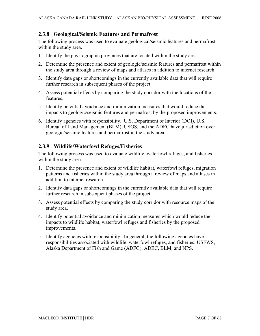### **2.3.8 Geological/Seismic Features and Permafrost**

The following process was used to evaluate geological/seismic features and permafrost within the study area.

- 1. Identify the physiographic provinces that are located within the study area.
- 2. Determine the presence and extent of geologic/seismic features and permafrost within the study area through a review of maps and atlases in addition to internet research.
- 3. Identify data gaps or shortcomings in the currently available data that will require further research in subsequent phases of the project.
- 4. Assess potential effects by comparing the study corridor with the locations of the features.
- 5. Identify potential avoidance and minimization measures that would reduce the impacts to geologic/seismic features and permafrost by the proposed improvements.
- 6. Identify agencies with responsibility. U.S. Department of Interior (DOI), U.S. Bureau of Land Management (BLM), USGS, and the ADEC have jurisdiction over geologic/seismic features and permafrost in the study area.

### **2.3.9 Wildlife/Waterfowl Refuges/Fisheries**

The following process was used to evaluate wildlife, waterfowl refuges, and fisheries within the study area.

- 1. Determine the presence and extent of wildlife habitat, waterfowl refuges, migration patterns and fisheries within the study area through a review of maps and atlases in addition to internet research.
- 2. Identify data gaps or shortcomings in the currently available data that will require further research in subsequent phases of the project.
- 3. Assess potential effects by comparing the study corridor with resource maps of the study area.
- 4. Identify potential avoidance and minimization measures which would reduce the impacts to wildlife habitat, waterfowl refuges and fisheries by the proposed improvements.
- 5. Identify agencies with responsibility. In general, the following agencies have responsibilities associated with wildlife, waterfowl refuges, and fisheries: USFWS, Alaska Department of Fish and Game (ADFG), ADEC, BLM, and NPS.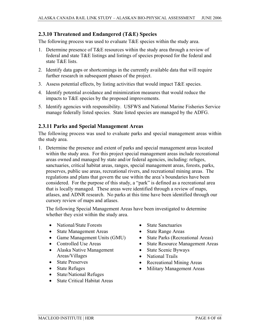### **2.3.10 Threatened and Endangered (T&E) Species**

The following process was used to evaluate  $T \& E$  species within the study area.

- 1. Determine presence of T&E resources within the study area through a review of federal and state T&E listings and listings of species proposed for the federal and state T&E lists.
- 2. Identify data gaps or shortcomings in the currently available data that will require further research in subsequent phases of the project.
- 3. Assess potential effects, by listing activities that would impact T&E species.
- 4. Identify potential avoidance and minimization measures that would reduce the impacts to T&E species by the proposed improvements.
- 5. Identify agencies with responsibility. USFWS and National Marine Fisheries Service manage federally listed species. State listed species are managed by the ADFG.

#### **2.3.11 Parks and Special Management Areas**

The following process was used to evaluate parks and special management areas within the study area.

1. Determine the presence and extent of parks and special management areas located within the study area. For this project special management areas include recreational areas owned and managed by state and/or federal agencies, including: refuges, sanctuaries, critical habitat areas, ranges, special management areas, forests, parks, preserves, public use areas, recreational rivers, and recreational mining areas. The regulations and plans that govern the use within the area's boundaries have been considered. For the purpose of this study, a "park" is defined as a recreational area that is locally managed. These areas were identified through a review of maps, atlases, and ADNR research. No parks at this time have been identified through our cursory review of maps and atlases.

The following Special Management Areas have been investigated to determine whether they exist within the study area.

- National/State Forests
- State Management Areas
- Game Management Units (GMU)
- Controlled Use Areas
- Alaska Native Management Areas/Villages
- State Preserves
- State Refuges
- State/National Refuges
- State Critical Habitat Areas
- State Sanctuaries
- State Range Areas
- State Parks (Recreational Areas)
- State Resource Management Areas
- State Scenic Byways
- National Trails
- Recreational Mining Areas
- Military Management Areas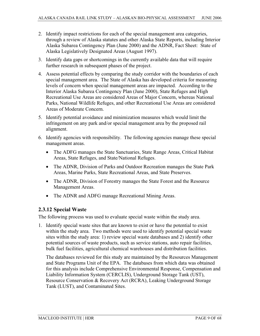- 2. Identify impact restrictions for each of the special management area categories, through a review of Alaska statutes and other Alaska State Reports, including Interior Alaska Subarea Contingency Plan (June 2000) and the ADNR, Fact Sheet: State of Alaska Legislatively Designated Areas (August 1997).
- 3. Identify data gaps or shortcomings in the currently available data that will require further research in subsequent phases of the project.
- 4. Assess potential effects by comparing the study corridor with the boundaries of each special management area. The State of Alaska has developed criteria for measuring levels of concern when special management areas are impacted. According to the Interior Alaska Subarea Contingency Plan (June 2000), State Refuges and High Recreational Use Areas are considered Areas of Major Concern, whereas National Parks, National Wildlife Refuges, and other Recreational Use Areas are considered Areas of Moderate Concern.
- 5. Identify potential avoidance and minimization measures which would limit the infringement on any park and/or special management area by the proposed rail alignment.
- 6. Identify agencies with responsibility. The following agencies manage these special management areas.
	- The ADFG manages the State Sanctuaries, State Range Areas, Critical Habitat Areas, State Refuges, and State/National Refuges.
	- The ADNR, Division of Parks and Outdoor Recreation manages the State Park Areas, Marine Parks, State Recreational Areas, and State Preserves.
	- The ADNR, Division of Forestry manages the State Forest and the Resource Management Areas.
	- The ADNR and ADFG manage Recreational Mining Areas.

### **2.3.12 Special Waste**

The following process was used to evaluate special waste within the study area.

1. Identify special waste sites that are known to exist or have the potential to exist within the study area. Two methods were used to identify potential special waste sites within the study area: 1) review special waste databases and 2) identify other potential sources of waste products, such as service stations, auto repair facilities, bulk fuel facilities, agricultural chemical warehouses and distribution facilities.

The databases reviewed for this study are maintained by the Resources Management and State Programs Unit of the EPA. The databases from which data was obtained for this analysis include Comprehensive Environmental Response, Compensation and Liability Information System (CERCLIS), Underground Storage Tank (UST), Resource Conservation & Recovery Act (RCRA), Leaking Underground Storage Tank (LUST), and Contaminated Sites.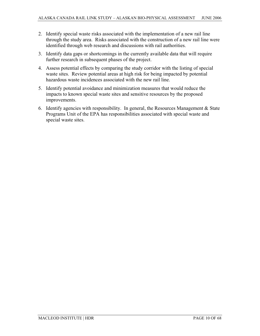- 2. Identify special waste risks associated with the implementation of a new rail line through the study area. Risks associated with the construction of a new rail line were identified through web research and discussions with rail authorities.
- 3. Identify data gaps or shortcomings in the currently available data that will require further research in subsequent phases of the project.
- 4. Assess potential effects by comparing the study corridor with the listing of special waste sites. Review potential areas at high risk for being impacted by potential hazardous waste incidences associated with the new rail line.
- 5. Identify potential avoidance and minimization measures that would reduce the impacts to known special waste sites and sensitive resources by the proposed improvements.
- 6. Identify agencies with responsibility. In general, the Resources Management & State Programs Unit of the EPA has responsibilities associated with special waste and special waste sites.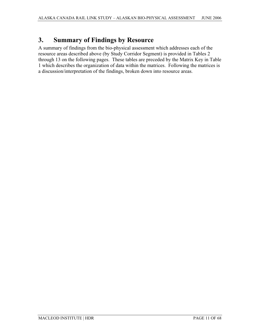# **3. Summary of Findings by Resource**

A summary of findings from the bio-physical assessment which addresses each of the resource areas described above (by Study Corridor Segment) is provided in Tables 2 through 13 on the following pages. These tables are preceded by the Matrix Key in Table 1 which describes the organization of data within the matrices. Following the matrices is a discussion/interpretation of the findings, broken down into resource areas.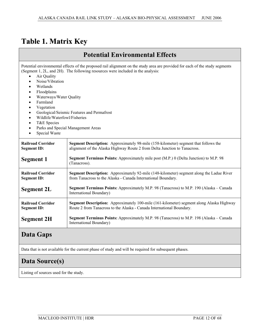# **Table 1. Matrix Key**

### **Potential Environmental Effects**

Potential environmental effects of the proposed rail alignment on the study area are provided for each of the study segments (Segment 1, 2L, and 2H). The following resources were included in the analysis:

- Air Quality
- Noise/Vibration
- Wetlands
- **Floodplains**
- Waterways/Water Quality
- Farmland
- **Vegetation**
- Geological/Seismic Features and Permafrost
- x Wildlife/Waterfowl/Fisheries
- T&E Species
- Parks and Special Management Areas
- Special Waste

| <b>Railroad Corridor</b><br><b>Segment Description:</b> Approximately 98-mile (158-kilometer) segment that follows the<br>alignment of the Alaska Highway Route 2 from Delta Junction to Tanacross.<br><b>Segment ID:</b> |                                                                                                                                                                          |  |
|---------------------------------------------------------------------------------------------------------------------------------------------------------------------------------------------------------------------------|--------------------------------------------------------------------------------------------------------------------------------------------------------------------------|--|
| Segment 1                                                                                                                                                                                                                 | <b>Segment Terminus Points:</b> Approximately mile post (M.P.) 0 (Delta Junction) to M.P. 98<br>(Tanacross).                                                             |  |
| <b>Railroad Corridor</b><br><b>Segment ID:</b>                                                                                                                                                                            | Segment Description: Approximately 92-mile (148-kilometer) segment along the Ladue River<br>from Tanacross to the Alaska - Canada International Boundary.                |  |
| Segment 2L                                                                                                                                                                                                                | Segment Terminus Points: Approximately M.P. 98 (Tanacross) to M.P. 190 (Alaska – Canada<br>International Boundary)                                                       |  |
| <b>Railroad Corridor</b><br><b>Segment ID:</b>                                                                                                                                                                            | <b>Segment Description:</b> Approximately 100-mile (161-kilometer) segment along Alaska Highway<br>Route 2 from Tanacross to the Alaska - Canada International Boundary. |  |
| <b>Segment 2H</b>                                                                                                                                                                                                         | Segment Terminus Points: Approximately M.P. 98 (Tanacross) to M.P. 198 (Alaska – Canada<br>International Boundary)                                                       |  |

### **Data Gaps**

Data that is not available for the current phase of study and will be required for subsequent phases.

# **Data Source(s)**

Listing of sources used for the study.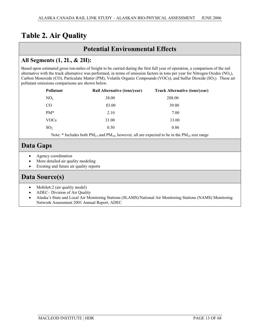# **Table 2. Air Quality**

### **Potential Environmental Effects**

### **All Segments (1, 2L, & 2H):**

Based upon estimated gross ton-miles of freight to be carried during the first full year of operation, a comparison of the rail alternative with the truck alternative was performed, in terms of emission factors in tons per year for Nitrogen Oxides  $(NO<sub>x</sub>)$ , Carbon Monoxide (CO), Particulate Matter (PM), Volatile Organic Compounds (VOCs), and Sulfur Dioxide (SO<sub>2</sub>). These air pollutant emissions comparisons are shown below.

| <b>Pollutant</b> | <b>Rail Alternative (tons/year)</b> | <b>Truck Alternative (tons/year)</b> |
|------------------|-------------------------------------|--------------------------------------|
| $NO_{x}$         | 38.00                               | 288.00                               |
| <sub>CO</sub>    | 83.00                               | 39.00                                |
| $PM*$            | 2.10                                | 7.00                                 |
| <b>VOCs</b>      | 31.00                               | 13.00                                |
| SO <sub>2</sub>  | 0.30                                | 0.86                                 |
|                  |                                     |                                      |

Note: \* Includes both  $PM_{2.5}$  and  $PM_{10}$ , however, all are expected to be in the  $PM_{10}$  size range

# **Data Gaps**

- Agency coordination
- More detailed air quality modeling
- Existing and future air quality reports

### **Data Source(s)**

- $\bullet$  Mobile6.2 (air quality model)
- x ADEC– Division of Air Quality
- x Alaska's State and Local Air Monitoring Stations (SLAMS)/National Air Monitoring Stations (NAMS) Monitoring Network Assessment 2001 Annual Report, ADEC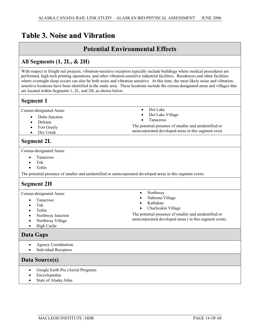# **Table 3. Noise and Vibration**

### **Potential Environmental Effects**

### **All Segments (1, 2L, & 2H)**

With respect to freight rail projects, vibration-sensitive receptors typically include buildings where medical procedures are performed, high-tech printing operations, and other vibration-sensitive industrial facilities. Residences and other facilities where overnight sleep occurs can also be both noise and vibration sensitive. At this time, the most likely noise and vibrationsensitive locations have been identified in the study area. These locations include the census-designated areas and villages that are located within Segments 1, 2L, and 2H, as shown below.

### **Segment 1**

Census-designated Areas:

- Delta Junction
- Deltana
- Fort Greely
- Dry Creek

### **Segment 2L**

Census-designated Areas:

- Tanacross
- Tok
- **Tetlin**

The potential presence of smaller and unidentified or unincorporated developed areas in this segment exists.

### **Segment 2H**

Census-designated Areas:

- Tanacross
- Tok
- **Tetlin**
- x Northway Junction
- Northway Village
- High Cache

### **Data Gaps**

- Agency Coordination
- Individual Receptors

### **Data Source(s)**

- Google Earth Pro (Aerial Program)
- $\bullet$  Encyclopedias
- State of Alaska Atlas
- Northway
- Nabesna Village

Dot Lake • Dot Lake Village **Tanacross** 

- x Kathakne
- Charlieskin Village

The potential presence of smaller and unidentified or unincorporated developed areas t in this segment exists.

The potential presence of smaller and unidentified or unincorporated developed areas in this segment exist.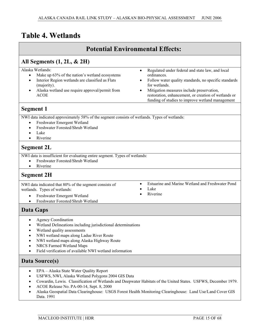# **Table 4. Wetlands**

| <b>Potential Environmental Effects:</b>                                                                                                                                                                                                                                                                                                                                                                            |                                                                                                                                                                                                                                                                                                    |  |  |
|--------------------------------------------------------------------------------------------------------------------------------------------------------------------------------------------------------------------------------------------------------------------------------------------------------------------------------------------------------------------------------------------------------------------|----------------------------------------------------------------------------------------------------------------------------------------------------------------------------------------------------------------------------------------------------------------------------------------------------|--|--|
| All Segments $(1, 2L, \& 2H)$                                                                                                                                                                                                                                                                                                                                                                                      |                                                                                                                                                                                                                                                                                                    |  |  |
| Alaska Wetlands:<br>$\bullet$<br>Make up 63% of the nation's wetland ecosystems<br>Interior Region wetlands are classified as Flats<br>(majority).<br>Alaska wetland use require approval/permit from<br><b>ACOE</b>                                                                                                                                                                                               | Regulated under federal and state law, and local<br>ordinances.<br>Follow water quality standards, no specific standards<br>for wetlands.<br>Mitigation measures include preservation,<br>restoration, enhancement, or creation of wetlands or<br>funding of studies to improve wetland management |  |  |
| <b>Segment 1</b>                                                                                                                                                                                                                                                                                                                                                                                                   |                                                                                                                                                                                                                                                                                                    |  |  |
| NWI data indicated approximately 58% of the segment consists of wetlands. Types of wetlands:<br>Freshwater Emergent Wetland<br>$\bullet$<br>Freshwater Forested/Shrub Wetland<br>Lake<br>Riverine<br>$\bullet$                                                                                                                                                                                                     |                                                                                                                                                                                                                                                                                                    |  |  |
| <b>Segment 2L</b>                                                                                                                                                                                                                                                                                                                                                                                                  |                                                                                                                                                                                                                                                                                                    |  |  |
| NWI data is insufficient for evaluating entire segment. Types of wetlands:<br>Freshwater Forested/Shrub Wetland<br>Riverine<br>$\bullet$                                                                                                                                                                                                                                                                           |                                                                                                                                                                                                                                                                                                    |  |  |
| <b>Segment 2H</b>                                                                                                                                                                                                                                                                                                                                                                                                  |                                                                                                                                                                                                                                                                                                    |  |  |
| $\bullet$<br>NWI data indicated that 80% of the segment consists of<br>wetlands. Types of wetlands:<br>Freshwater Emergent Wetland<br>Freshwater Forested/Shrub Wetland                                                                                                                                                                                                                                            | Estuarine and Marine Wetland and Freshwater Pond<br>Lake<br>Riverine                                                                                                                                                                                                                               |  |  |
| Data Gaps                                                                                                                                                                                                                                                                                                                                                                                                          |                                                                                                                                                                                                                                                                                                    |  |  |
| <b>Agency Coordination</b><br>٠<br>Wetland Delineations including jurisdictional determinations<br>Wetland quality assessments<br>$\bullet$<br>NWI wetland maps along Ladue River Route<br>٠<br>NWI wetland maps along Alaska Highway Route<br>NRCS Farmed Wetland Maps<br>Field verification of available NWI wetland information<br>$\bullet$                                                                    |                                                                                                                                                                                                                                                                                                    |  |  |
| Data Source(s)                                                                                                                                                                                                                                                                                                                                                                                                     |                                                                                                                                                                                                                                                                                                    |  |  |
| EPA - Alaska State Water Quality Report<br>$\bullet$<br>USFWS, NWI, Alaska Wetland Polygons 2004 GIS Data<br>٠<br>Cowardin, Lewis. Classification of Wetlands and Deepwater Habitats of the United States. USFWS, December 1979.<br>٠<br>ACOE Release No. PA-00-14, Sept. 8, 2000<br>Alaska Geospatial Data Clearinghouse: USGS Forest Health Monitoring Clearinghouse: Land Use/Land Cover GIS<br>٠<br>Data. 1991 |                                                                                                                                                                                                                                                                                                    |  |  |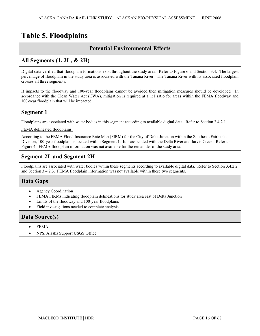# **Table 5. Floodplains**

### **Potential Environmental Effects**

### **All Segments (1, 2L, & 2H)**

Digital data verified that floodplain formations exist throughout the study area. Refer to Figure 6 and Section 3.4. The largest percentage of floodplain in the study area is associated with the Tanana River. The Tanana River with its associated floodplain crosses all three segments.

If impacts to the floodway and 100-year floodplains cannot be avoided then mitigation measures should be developed. In accordance with the Clean Water Act (CWA), mitigation is required at a 1:1 ratio for areas within the FEMA floodway and 100-year floodplain that will be impacted.

### **Segment 1**

Floodplains are associated with water bodies in this segment according to available digital data. Refer to Section 3.4.2.1.

FEMA delineated floodplains:

According to the FEMA Flood Insurance Rate Map (FIRM) for the City of Delta Junction within the Southeast Fairbanks Division, 100-year floodplain is located within Segment 1. It is associated with the Delta River and Jarvis Creek. Refer to Figure 4. FEMA floodplain information was not available for the remainder of the study area.

### **Segment 2L and Segment 2H**

Floodplains are associated with water bodies within these segments according to available digital data. Refer to Section 3.4.2.2 and Section 3.4.2.3. FEMA floodplain information was not available within these two segments.

### **Data Gaps**

- Agency Coordination
- FEMA FIRMs indicating floodplain delineations for study area east of Delta Junction
- Limits of the floodway and 100-year floodplains
- Field investigations needed to complete analysis

### **Data Source(s)**

- $\bullet$  FEMA
- x NPS, Alaska Support USGS Office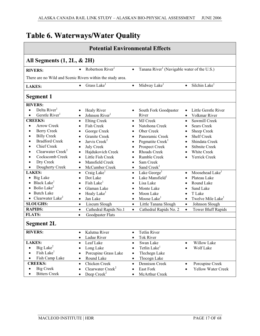# **Table 6. Waterways/Water Quality**

| <b>Potential Environmental Effects</b>                                                                                                                                                                                                                                                                                 |                                                                                                                                                                                                                                                                                                                 |                                                                                                                                                                                                                                                                                                       |                                                                                                                                                                                                                                                                          |
|------------------------------------------------------------------------------------------------------------------------------------------------------------------------------------------------------------------------------------------------------------------------------------------------------------------------|-----------------------------------------------------------------------------------------------------------------------------------------------------------------------------------------------------------------------------------------------------------------------------------------------------------------|-------------------------------------------------------------------------------------------------------------------------------------------------------------------------------------------------------------------------------------------------------------------------------------------------------|--------------------------------------------------------------------------------------------------------------------------------------------------------------------------------------------------------------------------------------------------------------------------|
| All Segments (1, 2L, & 2H)                                                                                                                                                                                                                                                                                             |                                                                                                                                                                                                                                                                                                                 |                                                                                                                                                                                                                                                                                                       |                                                                                                                                                                                                                                                                          |
| <b>RIVERS:</b>                                                                                                                                                                                                                                                                                                         | Robertson River <sup>1</sup><br>$\bullet$                                                                                                                                                                                                                                                                       | Tanana River <sup>1</sup> (Navigable water of the U.S.)<br>$\bullet$                                                                                                                                                                                                                                  |                                                                                                                                                                                                                                                                          |
| There are no Wild and Scenic Rivers within the study area.                                                                                                                                                                                                                                                             |                                                                                                                                                                                                                                                                                                                 |                                                                                                                                                                                                                                                                                                       |                                                                                                                                                                                                                                                                          |
| <b>LAKES:</b>                                                                                                                                                                                                                                                                                                          | Grass Lake <sup>1</sup><br>$\bullet$                                                                                                                                                                                                                                                                            | Midway Lake <sup>1</sup><br>$\bullet$                                                                                                                                                                                                                                                                 | Silchin Lake <sup>1</sup><br>$\bullet$                                                                                                                                                                                                                                   |
| <b>Segment 1</b>                                                                                                                                                                                                                                                                                                       |                                                                                                                                                                                                                                                                                                                 |                                                                                                                                                                                                                                                                                                       |                                                                                                                                                                                                                                                                          |
| <b>RIVERS:</b><br>Delta River <sup>1</sup><br>$\bullet$<br>Gerstle River <sup>1</sup><br>$\bullet$<br><b>CREEKS:</b>                                                                                                                                                                                                   | Healy River<br>Johnson River <sup>1</sup><br><b>Elting Creek</b><br>$\bullet$                                                                                                                                                                                                                                   | South Fork Goodpaster<br>$\bullet$<br>River<br>MJ Creek<br>$\bullet$                                                                                                                                                                                                                                  | Little Gerstle River<br>Volkmar River<br>Sawmill Creek<br>$\bullet$                                                                                                                                                                                                      |
| <b>Arrow Creek</b><br>$\bullet$<br><b>Berry Creek</b><br>$\bullet$<br><b>Billy Creek</b><br>$\bullet$<br><b>Bradford Creek</b><br>$\bullet$<br><b>Chief Creek</b><br>$\bullet$<br>Clearwater Creek <sup>2</sup><br>$\bullet$<br>Cockscomb Creek<br>$\bullet$<br>Dry Creek<br>$\bullet$<br>Dougherty Creek<br>$\bullet$ | <b>Fish Creek</b><br>$\bullet$<br>George Creek<br>$\bullet$<br><b>Granite Creek</b><br>$\bullet$<br>Jarvis Creek <sup>2</sup><br>$\bullet$<br><b>July Creek</b><br>$\bullet$<br>Hajdukovich Creek<br>$\bullet$<br>Little Fish Creek<br>$\bullet$<br>Mansfield Creek<br>$\bullet$<br>McCumber Creek<br>$\bullet$ | Natohona Creek<br>$\bullet$<br>Ober Creek<br>$\bullet$<br>Panoramic Creek<br>$\bullet$<br>Pegmatite Creek <sup>1</sup><br>$\bullet$<br>Prospect Creek<br>$\bullet$<br><b>Rhoads Creek</b><br>$\bullet$<br>Rumble Creek<br>$\bullet$<br>Sam Creek<br>$\bullet$<br>Sand Creek <sup>1</sup><br>$\bullet$ | <b>Sears Creek</b><br>$\bullet$<br>Sheep Creek<br>٠<br><b>Shelf Creek</b><br>$\bullet$<br>Shindata Creek<br>$\bullet$<br><b>Stibnite Creek</b><br>$\bullet$<br>White Creek<br>$\bullet$<br>Yerrick Creek<br>$\bullet$                                                    |
| <b>LAKES:</b><br>• Big Lake<br>Black Lake<br>$\bullet$ Bolio Lake <sup>2</sup><br>• Butch Lake<br>• Clearwater Lake <sup>2</sup><br><b>SLOUGHS:</b><br><b>RAPIDS:</b><br><b>FLATS:</b>                                                                                                                                 | Craig Lake <sup>1</sup><br>$\bullet$<br>Dot Lake<br>$\bullet$<br>Fish Lake <sup>1</sup><br>$\bullet$<br>Glaman Lake<br>$\bullet$<br>Healy Lake <sup>1</sup><br>$\bullet$<br>Jan Lake<br>$\bullet$<br>Liscum Slough<br>$\bullet$<br>Cathedral Rapids No.1<br>$\bullet$<br><b>Goodpaster Flats</b><br>$\bullet$   | Lake George <sup>1</sup><br>$\bullet$<br>Lake Mansfield <sup>1</sup><br>$\bullet$<br>Lisa Lake<br>$\bullet$<br>Monte Lake<br>$\bullet$<br>Moon Lake<br>$\bullet$<br>Moose Lake <sup>1</sup><br>$\bullet$<br>Little Tanana Slough<br>$\bullet$<br>Cathedral Rapids No. 2<br>$\bullet$                  | Moosehead Lake <sup>1</sup><br>$\bullet$<br>Plateau Lake<br>$\bullet$<br>Round Lake<br>$\bullet$<br>Sand Lake<br>$\bullet$<br>T Lake<br>$\bullet$<br>Twelve Mile Lake <sup>1</sup><br>$\bullet$<br>Johnson Slough<br>$\bullet$<br><b>Tower Bluff Rapids</b><br>$\bullet$ |
| <b>Segment 2L</b>                                                                                                                                                                                                                                                                                                      |                                                                                                                                                                                                                                                                                                                 |                                                                                                                                                                                                                                                                                                       |                                                                                                                                                                                                                                                                          |
| <b>RIVERS:</b>                                                                                                                                                                                                                                                                                                         | Kalutna River<br>$\bullet$<br>Ladue River<br>$\bullet$                                                                                                                                                                                                                                                          | <b>Tetlin River</b><br>$\bullet$<br>Tok River<br>$\bullet$                                                                                                                                                                                                                                            |                                                                                                                                                                                                                                                                          |
| <b>LAKES:</b><br>Big Lake <sup>2</sup><br>Fish Lake <sup>1</sup><br>Fish Camp Lake                                                                                                                                                                                                                                     | Leaf Lake<br>$\bullet$<br>Long Lake<br>Porcupine Grass Lake<br>Round Lake<br>$\bullet$                                                                                                                                                                                                                          | Swan Lake<br>$\bullet$<br>Tetlin Lake <sup>1</sup><br>$\bullet$<br>Tlechegn Lake<br>$\bullet$<br>Tlocogn Lake<br>$\bullet$                                                                                                                                                                            | Willow Lake<br>Wolf Lake                                                                                                                                                                                                                                                 |
| <b>CREEKS:</b><br><b>Big Creek</b><br>$\bullet$<br><b>Bitters Creek</b>                                                                                                                                                                                                                                                | Chicken Creek<br>$\bullet$<br>Clearwater Creek <sup>2</sup><br>$\bullet$<br>Deep $Creek2$<br>$\bullet$                                                                                                                                                                                                          | Dennison Creek<br>$\bullet$<br>East Fork<br>$\bullet$<br>McArthur Creek<br>$\bullet$                                                                                                                                                                                                                  | Porcupine Creek<br>$\bullet$<br><b>Yellow Water Creek</b>                                                                                                                                                                                                                |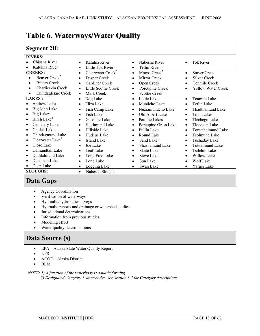| <b>Segment 2H:</b>                             |                               |                                   |                           |
|------------------------------------------------|-------------------------------|-----------------------------------|---------------------------|
| <b>RIVERS:</b>                                 |                               |                                   |                           |
| Chisana River                                  | Kalutna River                 | Nabesna River                     | <b>Tok River</b>          |
|                                                | $\bullet$                     | $\bullet$                         | $\bullet$                 |
| Kalukna River                                  | Little Tok River<br>$\bullet$ | <b>Tetlin River</b><br>$\bullet$  |                           |
| <b>CREEKS:</b>                                 | Clearwater Creek <sup>2</sup> | Moose Creek <sup>2</sup>          | <b>Stuver Creek</b>       |
|                                                | $\bullet$                     | $\bullet$                         | $\bullet$                 |
| Beaver Creek <sup>2</sup>                      | Desper Creek                  | Mirror Creek                      | <b>Silver Creek</b>       |
|                                                | $\bullet$                     | $\bullet$                         | $\bullet$                 |
| <b>Bitters Creek</b>                           | <b>Gardiner Creek</b>         | Open Creek                        | Tenmile Creek             |
| $\bullet$                                      | $\bullet$                     | $\bullet$                         | $\bullet$                 |
| Charlieskin Creek                              | Little Scottie Creek          | Porcupine Creek                   | <b>Yellow Water Creek</b> |
| $\bullet$                                      | $\bullet$                     | $\bullet$                         | $\bullet$                 |
| Chindaglekne Creek                             | Mark Creek                    | <b>Scottie Creek</b><br>$\bullet$ |                           |
| <b>LAKES:</b>                                  | Dog Lake                      | Louie Lake                        | Tenmile Lake              |
|                                                | $\bullet$                     | $\bullet$                         | $\bullet$                 |
| Andrew Lake                                    | Eliza Lake                    | Mundcho Lake                      | Tetlin Lake <sup>1</sup>  |
|                                                | $\bullet$                     | $\bullet$                         | $\bullet$                 |
| Big John Lake                                  | Fish Camp Lake                | Nuziamundcho Lake                 | Thadthamund Lake          |
|                                                | $\bullet$                     | $\bullet$                         | $\bullet$                 |
| Big Lake <sup>2</sup>                          | Fish Lake                     | Old Albert Lake                   | <b>Titus Lakes</b>        |
| $\bullet$                                      | $\bullet$                     | $\bullet$                         | $\bullet$                 |
| Birch Lake <sup>2</sup>                        | Gasoline Lake                 | Pauline Lakes                     | Tlechegn Lake             |
| $\bullet$                                      | $\bullet$                     | $\bullet$                         | $\bullet$                 |
| Cemetery Lake                                  | Halthmund Lake                | Porcupine Grass Lake              | Tlocogen Lake             |
| $\bullet$                                      | $\bullet$                     | $\bullet$                         | $\bullet$                 |
| Chidek Lake                                    | Hillside Lake                 | Pullin Lake                       | <b>Tontethaimund Lake</b> |
| $\bullet$                                      | $\bullet$                     | $\bullet$                         | $\bullet$                 |
| Chindagmund Lake                               | Hudeuc Lake                   | Round Lake                        | <b>Tsolmund Lake</b>      |
| $\bullet$                                      | $\bullet$                     | $\bullet$                         | $\bullet$                 |
| Clearwater Lake <sup>2</sup>                   | Island Lake                   | Sand Lake <sup>1</sup>            | Tushaday Lake             |
| $\bullet$                                      | $\bullet$                     | $\bullet$                         | $\bullet$                 |
| Close Lake                                     | Joe Lake                      | Shashamund Lake                   | <b>Tutkaimund Lake</b>    |
|                                                | $\bullet$                     | $\bullet$                         | $\bullet$                 |
| Damundtali Lake                                | Leaf Lake                     | <b>Skate Lake</b>                 | Tsilchin Lake             |
| $\bullet$                                      | $\bullet$                     | $\bullet$                         | $\bullet$                 |
| Dathlalmund Lake                               | Long Fred Lake                | <b>Steve Lake</b>                 | <b>Willow Lake</b>        |
| $\bullet$                                      | $\bullet$                     | $\bullet$                         | $\bullet$                 |
| Deadman Lake                                   | Long Lake                     | Sun Lake                          | Wolf Lake                 |
| $\bullet$                                      | $\bullet$                     | $\bullet$                         | $\bullet$                 |
| Deep Lake                                      | Logging Lake                  | Swan Lake<br>$\bullet$            | Yarger Lake               |
| <b>SLOUGHS:</b><br>Nabesna Slough<br>$\bullet$ |                               |                                   |                           |
| Data Gaps                                      |                               |                                   |                           |

# **Table 6. Waterways/Water Quality**

#### • Agency Coordination

- Verification of waterways
- Hydraulic/hydrologic surveys
- Hydraulic reports and drainage or watershed studies
- Jurisdictional determinations
- Information from previous studies
- Modeling effort
- Water quality determinations

### **Data Source (s)**

- EPA Alaska State Water Quality Report
- $\bullet$  NPS
- $\bullet$  ACOE Alaska District
- $\bullet$  BLM

#### *NOTE: 1) A function of the waterbody is aquatic farming*

*2) Designated Category 3 waterbody: See Section 3.5 for Category descriptions.*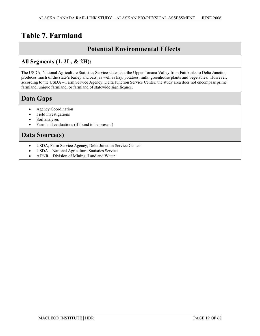# **Table 7. Farmland**

### **Potential Environmental Effects**

### **All Segments (1, 2L, & 2H):**

The USDA, National Agriculture Statistics Service states that the Upper Tanana Valley from Fairbanks to Delta Junction produces much of the state's barley and oats, as well as hay, potatoes, milk, greenhouse plants and vegetables. However, according to the USDA – Farm Service Agency, Delta Junction Service Center, the study area does not encompass prime farmland, unique farmland, or farmland of statewide significance.

# **Data Gaps**

- Agency Coordination
- $\bullet$  Field investigations
- Soil analyses
- Farmland evaluations (if found to be present)

# **Data Source(s)**

- USDA, Farm Service Agency, Delta Junction Service Center
- USDA National Agriculture Statistics Service
- $\bullet$  ADNR Division of Mining, Land and Water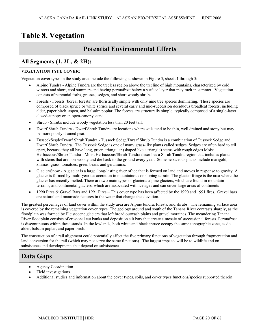# **Table 8. Vegetation**

### **Potential Environmental Effects**

### **All Segments (1, 2L, & 2H):**

#### **VEGETATION TYPE COVER:**

Vegetation cover types in the study area include the following as shown in Figure 5, sheets 1 through 5:

- x Alpine Tundra Alpine Tundra are the treeless region above the treeline of high mountains, characterized by cold winters and short, cool summers and having permafrost below a surface layer that may melt in summer. Vegetation consists of perennial forbs, grasses, sedges, and short woody shrubs.
- Forests Forests (boreal forests) are floristically simple with only nine tree species dominating. These species are composed of black spruce or white spruce and several early and mid-succession deciduous broadleaf forests, including alder, paper birch, aspen, and balsalm poplar. The forests are structurally simple, typically composed of a single-layer closed-canopy or an open-canopy stand.
- Shrub Shrubs include woody vegetation less than 20 feet tall.
- Dwarf Shrub Tundra Dwarf Shrub Tundra are locations where soils tend to be thin, well drained and stony but may be more poorly drained peat.
- x TussockSegde/Dwarf Shrub Tundra Tussock Sedge/Dwarf Shrub Tundra is a combination of Tussock Sedge and Dwarf Shrub Tundra. The Tussock Sedge is one of many grass-like plants called sedges. Sedges are often hard to tell apart, because they all have long, green, triangular (shaped like a triangle) stems with rough edges.Moist Herbaceous/Shrub Tundra - Moist Herbaceous/Shrub Tundra describes a Shrub Tundra region that includes plants with stems that are non-woody and die back to the ground every year. Some hebaceous plants include marigold, zinnias, grass, tomatoes, green beans and geraniums.
- Glacier/Snow A glacier is a large, long-lasting river of ice that is formed on land and moves in response to gravity. A glacier is formed by multi-year ice accretion in mountainous or sloping terrain. The glacier fringe is the area where the glacier has recently melted. There are two main types of glaciers: alpine glaciers, which are found in mountain terrains, and continental glaciers, which are associated with ice ages and can cover large areas of continents
- x 1990 Fires & Gravel Bars and 1991 Fires This cover type has been affected by the 1990 and 1991 fires. Gravel bars are natural and manmade features in the water that change the elevation.

The greatest percentages of land cover within the study area are Alpine tundra, forests, and shrubs. The remaining surface area is covered by the remaining vegetation cover types. The geology around and south of the Tanana River contrasts sharply, as the floodplain was formed by Pleistocene glaciers that left broad outwash plains and gravel moraines. The meandering Tanana River floodplain consists of erosional cut banks and deposition silt bars that create a mosaic of successional forests. Permafrost is discontinuous within these stands. In the lowlands, both white and black spruce occupy the same topographic zone, as do alder, balsam poplar, and paper birch.

The construction of a rail alignment could potentially affect the five primary functions of vegetation through fragmentation and land conversion for the rail (which may not serve the same functions). The largest impacts will be to wildlife and on subsistence and developments that depend on subsistence.

# **Data Gaps**

- Agency Coordination
- Field investigations
- Additional studies and information about the cover types, soils, and cover types functions/species supported therein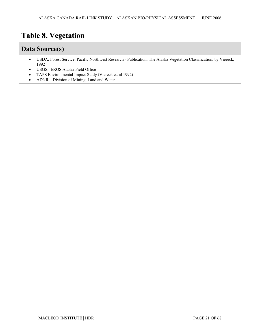# **Table 8. Vegetation**

### **Data Source(s)**

- x USDA, Forest Service, Pacific Northwest Research Publication: The Alaska Vegetation Classification, by Viereck, 1992
- USGS: EROS Alaska Field Office
- TAPS Environmental Impact Study (Viereck et. al 1992)
- ADNR Division of Mining, Land and Water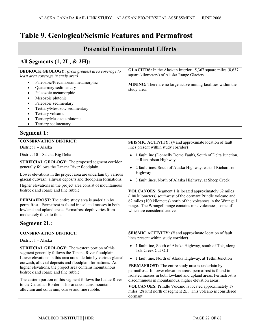# **Table 9. Geological/Seismic Features and Permafrost**

| <b>Potential Environmental Effects</b>                                                                                                                                                                                               |                                                                                                                                                                                              |  |  |
|--------------------------------------------------------------------------------------------------------------------------------------------------------------------------------------------------------------------------------------|----------------------------------------------------------------------------------------------------------------------------------------------------------------------------------------------|--|--|
| All Segments (1, 2L, & 2H):                                                                                                                                                                                                          |                                                                                                                                                                                              |  |  |
| <b>BEDROCK GEOLOGY:</b> (from greatest area coverage to<br>least area coverage in study area)<br>Paleozoic/Precambrian metamorphic<br>$\bullet$<br>Quaternary sedimentary<br>$\bullet$<br>Paleozoic metamorphic<br>$\bullet$         | GLACIERS: In the Alaskan Interior-5,367 square miles (8,637<br>square kilometers) of Alaska Range Glaciers.<br>MINING: There are no large active mining facilities within the<br>study area. |  |  |
| Mesozoic plutonic<br>$\bullet$<br>Paleozoic sedimentary<br>$\bullet$<br>Tertiary/Mesozoic sedimentary<br>$\bullet$<br>Tertiary volcanic<br>$\bullet$<br>Tertiary/Mesozoic plutonic<br>$\bullet$<br>Tertiary sedimentary<br>$\bullet$ |                                                                                                                                                                                              |  |  |
| <b>Segment 1:</b>                                                                                                                                                                                                                    |                                                                                                                                                                                              |  |  |
| <b>CONSERVATION DISTRICT:</b><br>District $1 - Alaska$                                                                                                                                                                               | <b>SEISMIC ACTIVITY:</b> (# and approximate location of fault<br>lines present within study corridor)                                                                                        |  |  |
| District 10 - Salcha-Big Delta                                                                                                                                                                                                       | 1 fault line (Donnelly Dome Fault), South of Delta Junction,<br>at Richardson Highway                                                                                                        |  |  |
| SURFICIAL GEOLOGY: The proposed segment corridor<br>generally follows the Tanana River floodplain.                                                                                                                                   | 2 fault lines, South of Alaska Highway, east of Richardson<br>$\bullet$<br>Highway                                                                                                           |  |  |
| Lower elevations in the project area are underlain by various<br>glacial outwash, alluvial deposits and floodplain formations.                                                                                                       | 3 fault lines, North of Alaska Highway, at Sheep Creek<br>$\bullet$                                                                                                                          |  |  |
| Higher elevations in the project area consist of mountainous<br>bedrock and coarse and fine rubble.                                                                                                                                  | <b>VOLCANOES:</b> Segment 1 is located approximately 62 miles<br>(100 kilometers) southwest of the dormant Prindle volcano and                                                               |  |  |
| PERMAFROST: The entire study area is underlain by<br>permafrost. Permafrost is found in isolated masses in both<br>lowland and upland areas. Permafrost depth varies from<br>moderately thick to thin.                               | 62 miles (100 kilometes) north of the volcanoes in the Wrangell<br>range. The Wrangell range contains nine volcanoes, some of<br>which are considered active.                                |  |  |
| <b>Segment 2L:</b>                                                                                                                                                                                                                   |                                                                                                                                                                                              |  |  |
| <b>CONSERVATION DISTRICT:</b>                                                                                                                                                                                                        | <b>SEISMIC ACTIVITY:</b> (# and approximate location of fault<br>lines present within study corridor)                                                                                        |  |  |
| District $1 - Alaska$<br>SURFICIAL GEOLOGY: The western portion of this<br>segment generally follows the Tanana River floodplain.<br>Lower elevations in this area are underlain by various glacial                                  | 1 fault line, South of Alaska Highway, south of Tok, along<br>Tok Creek Cut-Off<br>1 fault line. North of Alaska Highway, at Tetlin Junction<br>$\bullet$                                    |  |  |

• 1 fault line, North of Alaska Highway, at Tetlin Junction

**PERMAFROST:** The entire study area is underlain by permafrost. In lower elevation areas, permafrost is found in isolated masses in both lowland and upland areas. Permafrost is discontinuous in mountainous, higher elevation areas.

**VOLCANOES:** Prindle Volcano is located approximately 17 miles (28 km) north of segment 2L. This volcano is considered dormant.

outwash, alluvial deposits and floodplain formations. At higher elevations, the project area contains mountainous

The eastern portion of this segment follows the Ladue River to the Canadian Border. This area contains mountain alluvium and coluvium, coarse and fine rubble.

bedrock and coarse and fine rubble.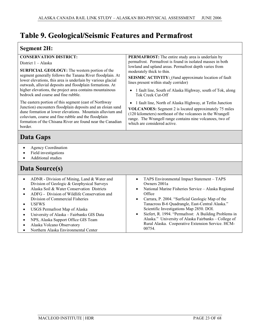# **Table 9. Geological/Seismic Features and Permafrost**

### **Segment 2H:**

|                                                                                                                                                                                                                                               | sverment 211.                                                                                                                                                                                                             |  |  |  |
|-----------------------------------------------------------------------------------------------------------------------------------------------------------------------------------------------------------------------------------------------|---------------------------------------------------------------------------------------------------------------------------------------------------------------------------------------------------------------------------|--|--|--|
| <b>CONSERVATION DISTRICT:</b>                                                                                                                                                                                                                 | PERMAFROST: The entire study area is underlain by                                                                                                                                                                         |  |  |  |
| District 1 - Alaska                                                                                                                                                                                                                           | permafrost. Permafrost is found in isolated masses in both                                                                                                                                                                |  |  |  |
| SURFICIAL GEOLOGY: The western portion of the                                                                                                                                                                                                 | lowland and upland areas. Permafrost depth varies from<br>moderately thick to thin.                                                                                                                                       |  |  |  |
| segment generally follows the Tanana River floodplain. At                                                                                                                                                                                     |                                                                                                                                                                                                                           |  |  |  |
| lower elevations, this area is underlain by various glacial                                                                                                                                                                                   | SEISMIC ACTIVITY: (#and approximate location of fault<br>lines present within study corridor)                                                                                                                             |  |  |  |
| outwash, alluvial deposits and floodplain formations. At                                                                                                                                                                                      |                                                                                                                                                                                                                           |  |  |  |
| higher elevations, the project area contains mountainous<br>bedrock and coarse and fine rubble.                                                                                                                                               | 1 fault line, South of Alaska Highway, south of Tok, along<br><b>Tok Creek Cut-Off</b>                                                                                                                                    |  |  |  |
| The eastern portion of this segment (east of Northway                                                                                                                                                                                         | 1 fault line, North of Alaska Highway, at Tetlin Junction                                                                                                                                                                 |  |  |  |
| Junction) encounters floodplain deposits and an eloian sand<br>dune formation at lower elevations. Mountain alluvium and<br>coluvium, coarse and fine rubble and the floodplain<br>formation of the Chisana River are found near the Canadian | <b>VOLCANOES:</b> Segment 2 is located approximately 75 miles<br>(120 kilometers) northeast of the volcanoes in the Wrangell<br>range. The Wrangell range contains nine volcanoes, two of<br>which are considered active. |  |  |  |
| border.                                                                                                                                                                                                                                       |                                                                                                                                                                                                                           |  |  |  |
| Data Gaps                                                                                                                                                                                                                                     |                                                                                                                                                                                                                           |  |  |  |
| <b>Agency Coordination</b><br>$\bullet$                                                                                                                                                                                                       |                                                                                                                                                                                                                           |  |  |  |
| Field investigations                                                                                                                                                                                                                          |                                                                                                                                                                                                                           |  |  |  |
| <b>Additional studies</b>                                                                                                                                                                                                                     |                                                                                                                                                                                                                           |  |  |  |
| Data Source(s)                                                                                                                                                                                                                                |                                                                                                                                                                                                                           |  |  |  |
|                                                                                                                                                                                                                                               |                                                                                                                                                                                                                           |  |  |  |
| ADNR - Division of Mining, Land & Water and<br>$\bullet$                                                                                                                                                                                      | TAPS Environmental Impact Statement - TAPS<br>$\bullet$                                                                                                                                                                   |  |  |  |
| Division of Geologic & Geophysical Surveys                                                                                                                                                                                                    | Owners 2001a                                                                                                                                                                                                              |  |  |  |
| Alaska Soil & Water Conservation Districts<br>$\bullet$                                                                                                                                                                                       | National Marine Fisheries Service - Alaska Regional<br>$\bullet$                                                                                                                                                          |  |  |  |
| ADFG - Division of Wildlife Conservation and<br>$\bullet$                                                                                                                                                                                     | Office                                                                                                                                                                                                                    |  |  |  |
| Division of Commercial Fisheries                                                                                                                                                                                                              | Carrara, P. 2004. "Surficial Geologic Map of the<br>$\bullet$                                                                                                                                                             |  |  |  |
| <b>USFWS</b><br>$\bullet$                                                                                                                                                                                                                     | Tanacross B-6 Quadrangle, East-Central Alaska."                                                                                                                                                                           |  |  |  |
| USGS Permafrost Map of Alaska<br>$\bullet$                                                                                                                                                                                                    | Scientific Investigations Map 2850. DOI.                                                                                                                                                                                  |  |  |  |
| University of Alaska - Fairbanks GIS Data<br>$\bullet$                                                                                                                                                                                        | Siefert, R. 1994. "Permafrost: A Building Problems in<br>$\bullet$                                                                                                                                                        |  |  |  |
| NPS, Alaska Support Office GIS Team<br>$\bullet$<br>Alaska Volcano Observatory<br>$\bullet$                                                                                                                                                   | Alaska." University of Alaska Fairbanks - College of<br>Rural Alaska. Cooperative Extension Service. HCM-                                                                                                                 |  |  |  |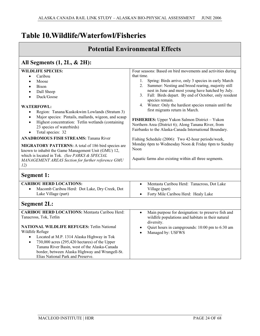# **Table 10.Wildlife/Waterfowl/Fisheries**

### **Potential Environmental Effects**

that time.

Noon

species remain.

Four seasons: Based on bird movements and activities during

1. Spring: Birds arrive, only 3 species in early March 2. Summer: Nesting and brood rearing, majority still nest in June and most young have hatched by July. 3. Fall: Birds depart. By end of October, only resident

4. Winter: Only the hardiest species remain until the

first migrants return in March.

**FISHERIES:** Upper Yukon Salmon District – Yukon Northern Area (District 6); Along Tanana River, from Fairbanks to the Alaska-Canada International Boundary.

Fishing Schedule (2006): Two 42-hour periods/week, Monday 6pm to Wednesday Noon & Friday 6pm to Sunday

Aquatic farms also existing within all three segments.

### **All Segments (1, 2L, & 2H):**

### **WILDLIFE SPECIES:**

- Caribou
- **Moose**
- **Bison**
- Dall Sheep
- Duck/Goose

#### **WATERFOWL:**

- Region: Tanana/Kuskokwim Lowlands (Stratum 3)
- Major species: Pintails, mallards, wigeon, and scaup
- Highest concentration: Tetlin wetlands (containing 23 species of waterbirds)
- Total species: 32

#### **ANADROMOUS FISH STREAMS:** Tanana River

**MIGRATORY PATTERNS:** A total of 186 bird species are known to inhabit the Game Management Unit (GMU) 12, which is located in Tok. *(See PARKS & SPECIAL MANAGEMENT AREAS Section for further reference GMU 12)*

### **Segment 1:**

| <b>CARIBOU HERD LOCATIONS:</b><br>Macomb Caribou Herd: Dot Lake, Dry Creek, Dot<br>$\bullet$<br>Lake Village (part) | Mentasta Caribou Herd: Tanacross, Dot Lake<br>$\bullet$<br>Village (part)<br>Forty Mile Caribou Herd: Healy Lake<br>$\bullet$ |
|---------------------------------------------------------------------------------------------------------------------|-------------------------------------------------------------------------------------------------------------------------------|
| <b>Segment 2L:</b>                                                                                                  |                                                                                                                               |
| <b>CARIBOU HERD LOCATIONS: Mentasta Caribou Herd:</b>                                                               | Main purpose for designation: to preserve fish and                                                                            |
| Tanacross, Tok, Tetlin                                                                                              | wildlife populations and habitats in their natural<br>diversity.                                                              |
| <b>NATIONAL WILDLIFE REFUGES: Tetlin National</b>                                                                   | Quiet hours in campgrounds: 10:00 pm to 6:30 am                                                                               |
| Wildlife Refuge                                                                                                     | Managed by: USFWS<br>$\bullet$                                                                                                |
| Located at M.P. 1314 Alaska Highway in Tok<br>$\bullet$                                                             |                                                                                                                               |
| 730,000 acres (295,420 hectares) of the Upper<br>$\bullet$                                                          |                                                                                                                               |
| Tanana River Basin, west of the Alaska-Canada                                                                       |                                                                                                                               |
| border, between Alaska Highway and Wrangell-St.                                                                     |                                                                                                                               |
| Elias National Park and Preserve.                                                                                   |                                                                                                                               |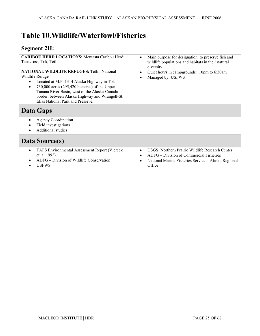# **Table 10.Wildlife/Waterfowl/Fisheries**

### **Segment 2H:**

| <b>CARIBOU HERD LOCATIONS: Mentasta Caribou Herd:</b><br>Tanacross, Tok, Tetlin<br><b>NATIONAL WILDLIFE REFUGES: Tetlin National</b><br>Wildlife Refuge<br>Located at M.P. 1314 Alaska Highway in Tok<br>$\bullet$<br>$730,000$ acres $(295,420$ hectares) of the Upper<br>$\bullet$<br>Tanana River Basin, west of the Alaska-Canada<br>border, between Alaska Highway and Wrangell-St.<br>Elias National Park and Preserve. | Main purpose for designation: to preserve fish and<br>wildlife populations and habitats in their natural<br>diversity.<br>Quiet hours in campgrounds: 10pm to 6:30am<br>Managed by: USFWS |
|-------------------------------------------------------------------------------------------------------------------------------------------------------------------------------------------------------------------------------------------------------------------------------------------------------------------------------------------------------------------------------------------------------------------------------|-------------------------------------------------------------------------------------------------------------------------------------------------------------------------------------------|
| Data Gaps                                                                                                                                                                                                                                                                                                                                                                                                                     |                                                                                                                                                                                           |
| <b>Agency Coordination</b><br>$\bullet$<br>Field investigations<br>٠<br><b>Additional studies</b><br>$\bullet$                                                                                                                                                                                                                                                                                                                |                                                                                                                                                                                           |
| Data Source(s)                                                                                                                                                                                                                                                                                                                                                                                                                |                                                                                                                                                                                           |
| TAPS Environmental Assessment Report (Viereck<br>$\bullet$<br>et. al 1992)<br>ADFG – Division of Wildlife Conservation<br>$\bullet$<br><b>USFWS</b><br>$\bullet$                                                                                                                                                                                                                                                              | USGS: Northern Prairie Wildlife Research Center<br>ADFG - Division of Commercial Fisheries<br>National Marine Fisheries Service - Alaska Regional<br>Office                               |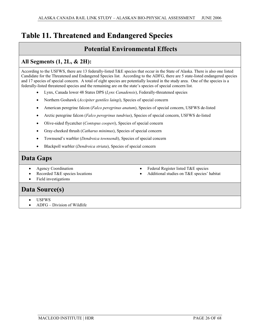# **Table 11. Threatened and Endangered Species**

### **Potential Environmental Effects**

### **All Segments (1, 2L, & 2H):**

According to the USFWS, there are 13 federally-listed T&E species that occur in the State of Alaska. There is also one listed Candidate for the Threatened and Endangered Species list. According to the ADFG, there are 5 state-listed endangered species and 17 species of special concern. A total of eight species are potentially located in the study area. One of the species is a federally-listed threatened species and the remaining are on the state's species of special concern list.

- x Lynx, Canada lower 48 States DPS (*Lynx Canadensis*), Federally-threatened species
- x Northern Goshawk (*Accipiter gentiles laingi*), Species of special concern
- x American peregrine falcon (*Falco peregrinus anatum*), Species of special concern, USFWS de-listed
- x Arctic peregrine falcon (*Falco peregrinus tundrius*), Species of special concern, USFWS de-listed
- x Olive-sided flycatcher (*Contopus cooperi*), Species of special concern
- Gray-cheeked thrush (*Catharus minimus*), Species of special concern
- x Townsend's warbler (*Dendroica townsendi*), Species of special concern
- x Blackpoll warbler (*Dendroica striata*), Species of special concern

### **Data Gaps**

• Agency Coordination

Field investigations

Recorded T&E species locations

- $\bullet$  Federal Register listed T&E species
- Additional studies on T&E species' habitat

# **Data Source(s)**

- USFWS
- x ADFG Division of Wildlife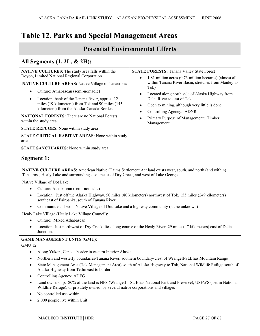| <b>Potential Environmental Effects</b>                                                                                                                                                                                                                                               |                                                                                                                                                                                                                                                                                                                                                                                                            |
|--------------------------------------------------------------------------------------------------------------------------------------------------------------------------------------------------------------------------------------------------------------------------------------|------------------------------------------------------------------------------------------------------------------------------------------------------------------------------------------------------------------------------------------------------------------------------------------------------------------------------------------------------------------------------------------------------------|
| All Segments $(1, 2L, \& 2H)$ :<br><b>NATIVE CULTURES:</b> The study area falls within the<br>Doyon, Limited National Regional Corporation.<br><b>NATIVE CULTURE AREAS: Native Village of Tanacross:</b><br>Culture: Athabascan (semi-nomadic)                                       | <b>STATE FORESTS:</b> Tanana Valley State Forest<br>1.81 million acres (0.73 million hectares) (almost all<br>within Tanana River Basin, stretches from Manley to<br>Tok)<br>Located along north side of Alaska Highway from<br>$\bullet$<br>Delta River to east of Tok<br>Open to mining, although very little is done<br>Controlling Agency: ADNR<br>Primary Purpose of Management: Timber<br>Management |
| Location: bank of the Tanana River, approx. 12<br>miles (19 kilometers) from Tok and 90 miles (145<br>kilometers) from the Alaska-Canada Border.<br><b>NATIONAL FORESTS:</b> There are no National Forests<br>within the study area.<br><b>STATE REFUGES:</b> None within study area |                                                                                                                                                                                                                                                                                                                                                                                                            |
| <b>STATE CRITICAL HABITAT AREAS:</b> None within study<br>area<br><b>STATE SANCTUARIES:</b> None within study area                                                                                                                                                                   |                                                                                                                                                                                                                                                                                                                                                                                                            |

### **Segment 1:**

**NATIVE CULTURE AREAS:** American Native Claims Settlement Act land exists west, south, and north (and within) Tanacross, Healy Lake and surroundings, southeast of Dry Creek, and west of Lake George.

Native Village of Dot Lake:

- Culture: Athabascan (semi-nomadic)
- Location: Just off the Alaska Highway, 50 miles (80 kilometers) northwest of Tok, 155 miles (249 kilometers) southeast of Fairbanks, south of Tanana River
- x Communities: Two Native Village of Dot Lake and a highway community (name unknown)

Healy Lake Village (Healy Lake Village Council):

- Culture: Mixed Athabascan
- Location: Just northwest of Dry Creek, lies along course of the Healy River, 29 miles (47 kilometers) east of Delta Junction.

#### **GAME MANAGEMENT UNITS (GMU):**

GMU 12:

- Along Yukon, Canada border in eastern Interior Alaska
- Northern and westerly boundaries-Tanana River, southern boundary-crest of Wrangell-St.Elias Mountain Range
- State Management Area (Tok Management Area) south of Alaska Highway to Tok, National Wildlife Refuge south of Alaska Highway from Tetlin east to border
- Controlling Agency: ADFG
- Land ownership: 80% of the land is NPS (Wrangell St. Elias National Park and Preserve), USFWS (Tetlin National Wildlife Refuge), or privately owned by several native corporations and villages
- No controlled use within
- 2,000 people live within Unit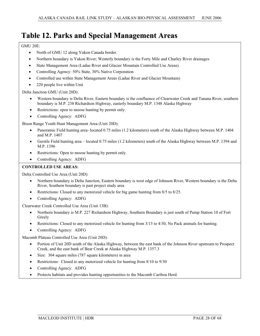#### GMU 20E:

- North of GMU 12 along Yukon Canada border.
- x Northern boundary is Yukon River; Westerly boundary is the Forty Mile and Charley River drainages
- State Management Area (Ladue River and Glacier Mountain Controlled Use Areas).
- Controlling Agency: 50% State, 30% Native Corporation
- Controlled use within State Management Areas (Ladue River and Glacier Mountain)
- 220 people live within Unit

Delta Junction GMU (Unit 20D):

- Western boundary is Delta River, Eastern boundary is the confluence of Clearwater Creek and Tanana River, southern boundary is M.P. 238 Richardson Highway, easterly boundary M.P. 1348 Alaska Highway
- Restrictions: open to moose hunting by permit only.
- Controlling Agency: ADFG

Bison Range Youth Hunt Management Area (Unit 20D):

- Panoramic Field hunting area- located 0.75 miles (1.2 kilometers) south of the Alaska Highway between M.P. 1404 and M.P. 1407
- Gerstle Field hunting area located 0.75 miles (1.2 kilometers) south of the Alaska Highway between M.P. 1394 and M.P. 1396
- Restrictions: Open to moose hunting by permit only.

#### • Controlling Agency: ADFG

#### **CONTROLLED USE AREAS:**

Delta Controlled Use Area (Unit 20D):

- x Northern boundary is Delta Junction, Eastern boundary is west edge of Johnson River, Western boundary is the Delta River, Southern boundary is past project study area
- Restrictions: Closed to any motorized vehicle for big game hunting from 8/5 to 8/25.
- Controlling Agency: ADFG

Clearwater Creek Controlled Use Area (Unit 13B):

- x Northern boundary is M.P. 227 Richardson Highway, Southern Boundary is just south of Pump Station 10 of Fort Greely
- Restrictions: Closed to any motorized vehicle for hunting from 3/15 to 4/30, No Pack animals for hunting.
- Controlling Agency: ADFG

Macomb Plateau Controlled Use Area (Unit 20D):

- x Portion of Unit 20D south of the Alaska Highway, between the east bank of the Johnson River upstream to Prospect Creek, and the east bank of Bear Creek at Alaska Highway M.P. 1357.3
- Size: 304 square miles (787 square kilometers) in area
- Restrictions: Closed to any motorized vehicle for hunting from 8/10 to 9/30
- Controlling Agency: ADFG
- Protects habitats and provides hunting opportunities to the Macomb Caribou Herd.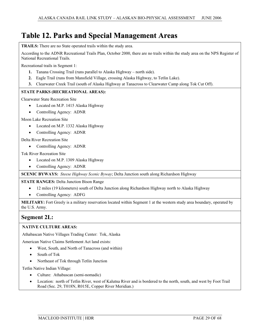**TRAILS:** There are no State operated trails within the study area.

According to the ADNR Recreational Trails Plan, October 2000, there are no trails within the study area on the NPS Register of National Recreational Trails.

Recreational trails in Segment 1:

- **1.** Tanana Crossing Trail (runs parallel to Alaska Highway north side).
- **2.** Eagle Trail (runs from Mansfield Village, crossing Alaska Highway, to Tetlin Lake).
- **3.** Clearwater Creek Trail (south of Alaska Highway at Tanacross to Clearwater Camp along Tok Cut Off).

#### **STATE PARKS (RECREATIONAL AREAS):**

Clearwater State Recreation Site

- Located on M.P. 1415 Alaska Highway
- Controlling Agency: ADNR

Moon Lake Recreation Site

- Located on M.P. 1332 Alaska Highway
- Controlling Agency: ADNR

#### Delta River Recreation Site

• Controlling Agency: ADNR

Tok River Recreation Site

- Located on M.P. 1309 Alaska Highway
- Controlling Agency: ADNR

**SCENIC BYWAYS:** *Steese Highway Scenic Byway*; Delta Junction south along Richardson Highway

#### **STATE RANGES:** Delta Junction Bison Range

- 12 miles (19 kilometers) south of Delta Junction along Richardson Highway north to Alaska Highway
- Controlling Agency: ADFG

**MILITARY:** Fort Greely is a military reservation located within Segment 1 at the western study area boundary, operated by the U.S. Army.

#### **Segment 2L:**

#### **NATIVE CULTURE AREAS:**

Athabascan Native Villages Trading Center: Tok, Alaska

American Native Claims Settlement Act land exists:

- West, South, and North of Tanacross (and within)
- South of Tok
- Northeast of Tok through Tetlin Junction

Tetlin Native Indian Village:

- Culture: Athabascan (semi-nomadic)
- Location: north of Tetlin River, west of Kalutna River and is bordered to the north, south, and west by Foot Trail Road (Sec. 29, T018N, R015E, Copper River Meridian.)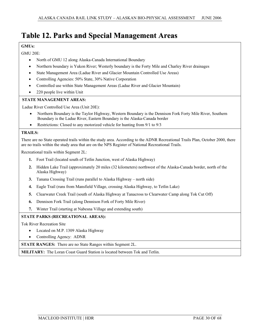#### **GMUs:**

GMU 20E:

- North of GMU 12 along Alaska-Canada International Boundary
- x Northern boundary is Yukon River; Westerly boundary is the Forty Mile and Charley River drainages
- x State Management Area (Ladue River and Glacier Mountain Controlled Use Areas)
- Controlling Agencies: 50% State, 30% Native Corporation
- Controlled use within State Management Areas (Ladue River and Glacier Mountain)
- $\bullet$  220 people live within Unit

#### **STATE MANAGEMENT AREAS:**

Ladue River Controlled Use Area (Unit 20E):

- x Northern Boundary is the Taylor Highway, Western Boundary is the Dennison Fork Forty Mile River, Southern Boundary is the Ladue River, Eastern Boundary is the Alaska-Canada border
- Exercitions: Closed to any motorized vehicle for hunting from  $9/1$  to  $9/3$

#### **TRAILS:**

There are no State operated trails within the study area. According to the ADNR Recreational Trails Plan, October 2000, there are no trails within the study area that are on the NPS Register of National Recreational Trails.

Recreational trails within Segment 2L:

- **1.** Foot Trail (located south of Tetlin Junction, west of Alaska Highway)
- **2.** Hidden Lake Trail (approximately 20 miles (32 kilometers) northwest of the Alaska-Canada border, north of the Alaska Highway)
- **3.** Tanana Crossing Trail (runs parallel to Alaska Highway north side)
- **4.** Eagle Trail (runs from Mansfield Village, crossing Alaska Highway, to Tetlin Lake)
- **5.** Clearwater Creek Trail (south of Alaska Highway at Tanacross to Clearwater Camp along Tok Cut Off)
- **6.** Dennison Fork Trail (along Dennison Fork of Forty Mile River)
- **7.** Winter Trail (starting at Nabesna Village and extending south)

#### **STATE PARKS (RECREATIONAL AREAS):**

Tok River Recreation Site

- Located on M.P. 1309 Alaska Highway
- Controlling Agency: ADNR

**STATE RANGES:** There are no State Ranges within Segment 2L.

**MILITARY:** The Loran Coast Guard Station is located between Tok and Tetlin.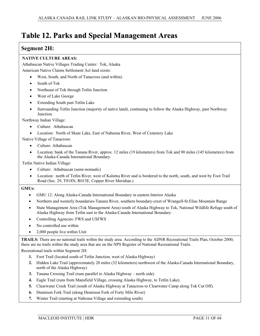# **Table 12. Parks and Special Management Areas**

#### **Segment 2H:**

#### **NATIVE CULTURE AREAS:**

Athabascan Native Villages Trading Center: Tok, Alaska American Native Claims Settlement Act land exists:

- West, South, and North of Tanacross (and within)
- South of Tok
- Northeast of Tok through Tetlin Junction
- West of Lake George
- x Extending South past Tetlin Lake
- Surrounding Tetlin Junction (majority of native land), continuing to follow the Alaska Highway, past Northway Junction.

Northway Indian Village:

- Culture: Athabascan
- Location: North of Skate Lake, East of Nabesna River, West of Cemetery Lake

Native Village of Tanacross:

- Culture: Athabascan
- Location: bank of the Tanana River, approx. 12 miles (19 kilometers) from Tok and 90 miles (145 kilometers) from the Alaska-Canada International Boundary.

Tetlin Native Indian Village:

- Culture: Athabascan (semi-nomadic)
- Location: north of Tetlin River, west of Kalutna River and is bordered to the north, south, and west by Foot Trail Road (Sec. 29, T018N, R015E, Copper River Meridian.)

#### **GMUs:**

- x GMU 12: Along Alaska-Canada International Boundary in eastern Interior Alaska
- x Northern and westerly boundaries-Tanana River, southern boundary-crest of Wrangell-St.Elias Mountain Range
- State Management Area (Tok Management Area) south of Alaska Highway to Tok, National Wildlife Refuge south of Alaska Highway from Tetlin east to the Alaska-Canada International Boundary
- Controlling Agencies: FWS and USFWS
- No controlled use within
- $\bullet$  2,000 people live within Unit

**TRAILS:** There are no national trails within the study area. According to the ADNR Recreational Trails Plan, October 2000, there are no trails within the study area that are on the NPS Register of National Recreational Trails.

Recreational trails within Segment 2H:

- **1.** Foot Trail (located south of Tetlin Junction, west of Alaska Highway)
- **2.** Hidden Lake Trail (approximately 20 miles (32 kilometers) northwest of the Alaska-Canada International Boundary, north of the Alaska Highway)
- **3.** Tanana Crossing Trail (runs parallel to Alaska Highway north side)
- **4.** Eagle Trail (runs from Mansfield Village, crossing Alaska Highway, to Tetlin Lake).
- **5.** Clearwater Creek Trail (south of Alaska Highway at Tanacross to Clearwater Camp along Tok Cut Off).
- **6.** Dennison Fork Trail (along Dennison Fork of Forty Mile River)
- **7.** Winter Trail (starting at Nabesna Village and extending south)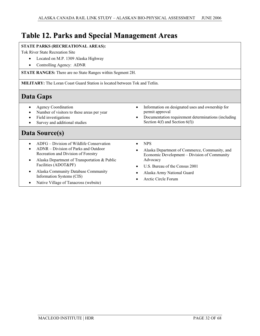# **Table 12. Parks and Special Management Areas**

#### **STATE PARKS (RECREATIONAL AREAS):**

Tok River State Recreation Site

- Located on M.P. 1309 Alaska Highway
- Controlling Agency: ADNR

**STATE RANGES:** There are no State Ranges within Segment 2H.

**MILITARY:** The Loran Coast Guard Station is located between Tok and Tetlin.

## **Data Gaps**

- Agency Coordination
- Number of visitors to these areas per year
- Field investigations
- Survey and additional studies

## **Data Source(s)**

- $\bullet$  ADFG Division of Wildlife Conservation
- ADNR Division of Parks and Outdoor Recreation and Division of Forestry
- x Alaska Department of Transportation & Public Facilities (ADOT&PF)
- x Alaska Community Database Community Information Systems (CIS)
- Native Village of Tanacross (website)
- Information on designated uses and ownership for permit approval
- Documentation requirement determinations (including Section 4(f) and Section 6(f))
- $\bullet$  NPS
- Alaska Department of Commerce, Community, and Economic Development – Division of Community Advocacy
- U.S. Bureau of the Census 2001
- x Alaska Army National Guard
- Arctic Circle Forum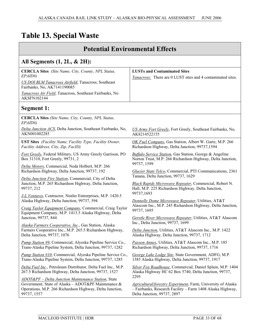| <b>Potential Environmental Effects</b>                                                                                                                                                                                                       |                                                                                                                                                                                                                  |  |
|----------------------------------------------------------------------------------------------------------------------------------------------------------------------------------------------------------------------------------------------|------------------------------------------------------------------------------------------------------------------------------------------------------------------------------------------------------------------|--|
| All Segments $(1, 2L, \& 2H)$ :                                                                                                                                                                                                              |                                                                                                                                                                                                                  |  |
| <b>CERCLA Sites</b> (Site Name, City, County, NPL Status,<br>EPAID#)<br><b>US DOI BLM Tanacross Airfield</b> , Tanacross, Southeast<br>Fairbanks, No, AK7141190085<br>Tanacross Air Field, Tanacross, Southeast Fairbanks, No<br>AKSFN102144 | <b>LUSTs and Contaminated Sites</b><br>Tanacross: There are 0 LUST sites and 4 contaminated sites.                                                                                                               |  |
| <b>Segment 1:</b>                                                                                                                                                                                                                            |                                                                                                                                                                                                                  |  |
| <b>CERCLA Sites</b> (Site Name, City, County, NPL Status,<br>EPAID#)<br>Delta Junction ACS, Delta Junction, Southeast Fairbanks, No,<br>AKN001002285                                                                                         | US Army Fort Greely, Fort Greely, Southeast Fairbanks, No,<br>AK8214522155                                                                                                                                       |  |
| <b>UST Sites</b> (Facility Name, Facility Type, Facility Owner,<br>Facility Address, City, Zip, FacID)                                                                                                                                       | OK Fuel Company, Gas Station, Albert W. Gartz, M.P. 266<br>Richardson Highway, Delta Junction, 99737,1594                                                                                                        |  |
| Fort Greely, Federal Military, US Army Greely Garrison, PO<br>Box 31310, Fort Greely, 99731, 2                                                                                                                                               | <b>Buffalo Service Station, Gas Station, George &amp; Angeline</b><br>Norton Trust, M.P. 266 Richardson Highway, Delta Junction,<br>99737, 1599                                                                  |  |
| Delta Motors, Commercial, Neda Holbert, M.P. 266<br>Richardson Highway, Delta Junction, 99737, 192<br>Delta Junction Fire Station, Commercial, City of Delta<br>Junction, M.P. 265 Richardson Highway, Delta Junction,<br>99737, 212         | Glacier State Telco, Commercial, PTI Communications, 2361<br>Tanana, Delta Junction, 99737, 1629<br>Black Rapids Microwave Repeater, Commercial, Robert N.<br>Hall, M.P. 225 Richardson Highway, Delta Junction, |  |
| J-L Ventures, Contractor, Nistler Entrerprises, M.P. 1420.5<br>Alaska Highway, Delta Junction, 99737, 594<br>Craig Taylor Equipment Company, Commercial, Craig Taylor<br>Equipment Company, M.P. 1413.5 Alaska Highway, Delta                | 99737,1693<br>Donnelly Dome Microwave Repeater, Utilities, AT&T<br>Alascom Inc., M.P. 245 Richardson Highway, Delta Junction,<br>99737, 1695                                                                     |  |
| Junction, 99737, 844<br>Alaska Farmers Cooperative, Inc., Gas Station, Alaska<br>Farmers Cooperative Inc., M.P. 265.5 Richardson Highway,<br>Delta Junction, 99737, 1076                                                                     | Gerstle River Microwave Repeater, Utilities, AT&T Alascom<br>Inc., Delta Junction, 99737, 1699<br>Delta Junction, Utilities, AT&T Alascom Inc., M.P. 1422<br>Alaska Highway, Delta Junction, 99737, 1712         |  |
| Pump Station #9, Commercial, Alyeska Pipeline Service Co.,<br>Trans-Alaska Pipeline System, Delta Junction, 99737, 1282                                                                                                                      | Paxson Annex, Utilities, AT&T Alascom Inc., M.P. 185<br>Richardson Highway, Delta Junction, 99737, 1716                                                                                                          |  |
| <i>Pump Station #10, Commercial, Alyeska Pipeline Service Co.,</i><br>Trans-Alaska Pipeline System, Delta Junction, 99737, 1285                                                                                                              | George Lake Lodge Site, State Government, ADFG, M.P.<br>1385 Alaska Highway, Delta Junction, 99737, 1917                                                                                                         |  |
| Delta Fuel Inc., Petroleum Distributor, Delta Fuel Inc,. M.P.<br>267.5 Richardson Highway, Delta Junction, 99737, 1527                                                                                                                       | Silver Fox Roadhouse, Commercial, Daniel Splain, M.P. 1404<br>Alaska Highway HC 62 Box 5740, Delta Junction, 99737,<br>2295                                                                                      |  |
| ADOT&PF - Delta Junction Maintenance Station, State<br>Government, State of Alaska - ADOT&PF Maintenance &<br>Operations, M.P. 266 Richardson Highway, Delta Junction,<br>99737, 1557                                                        | Agricultural/forestry Experiment, Farm, University of Alaska<br>- Fairbanks, Research Facility - Farm 1408 Alaska Highway,<br>Delta Junction, 99737, 2897                                                        |  |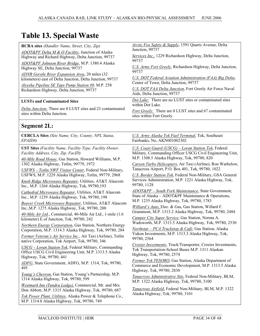| <b>RCRA sites (Handler Name, Street, City, Zip)</b>                                                                                          | <b>Arctic Fox Safety &amp; Supply, 1591 Quartz Avenue, Delta</b><br>Junction, 99737                                                                           |  |  |
|----------------------------------------------------------------------------------------------------------------------------------------------|---------------------------------------------------------------------------------------------------------------------------------------------------------------|--|--|
| ADOT&PF Delta M & O Facility, Junction of Alaska<br>Highway and Richard Highway, Delta Junction, 99737                                       | Services Inc., 1229 Richardson Highway, Delta Junction,                                                                                                       |  |  |
| ADOT&PF Johnson River Bridge, M.P. 1380.4 Alaska<br>Highway SE, Delta Junction, 99737                                                        | 99737<br>U.S. Army Fort Greely, Richardson Highway, Delta Junction,                                                                                           |  |  |
| <b>ADNR Gerstle River Expansion Area, 20 miles (32</b><br>kilometers) east of Delta Junction, Delta Junction, 99737                          | 99737<br><b>U.S. DOT Federal Aviation Administration (FAA) Big Delta,</b>                                                                                     |  |  |
| Alyeska Pipeline SE Taps Pump Station #9, M.P. 258                                                                                           | Center of Town, Delta Junction, 99737                                                                                                                         |  |  |
| Richardson Highway, Delta Junction, 99737                                                                                                    | U.S. DOT FAA Delta Junction, Fort Greely Air Force Naval<br>Aids, Delta Junction, 99737                                                                       |  |  |
| <b>LUSTs and Contaminated Sites</b>                                                                                                          | Dot Lake: There are no LUST sites or contaminated sites<br>within Dot Lake.                                                                                   |  |  |
| Delta Junction: There are 0 LUST sites and 23 contaminated<br>sites within Delta Junction.                                                   | <b>Fort Greely:</b> There are 0 LUST sites and 67 contaminated<br>sites within Fort Greely.                                                                   |  |  |
| <b>Segment 2L:</b>                                                                                                                           |                                                                                                                                                               |  |  |
| <b>CERCLA Sites</b> (Site Name, City, County, NPL Status,<br>EPAID#)                                                                         | U.S. Army Alaska Tok Fuel Terminal, Tok, Southeast<br>Fairbanks, No, AKN001002302                                                                             |  |  |
| <b>UST Sites</b> (Facility Name, Facility Type, Facility Owner,<br>Facility Address, City, Zip, FacID)                                       | U.S. Coast Guard (USCG) - Loran Station Tok, Federal<br>Military, Commanding Officer USCG Civil Engineering Unit,                                             |  |  |
| 40-Mile Road House, Gas Station, Howard Williams, M.P.<br>1302 Alaska Highway, Tetlin, 99779, 1972                                           | M.P. 1308.5 Alaska Highway, Tok, 99780, 820<br>Carson Turbo Helicopters, Air Taxi (Airline), Ron Warbelow,                                                    |  |  |
| USFWS - Tetlin NWF Visitor Center, Federal Non-Military,                                                                                     | Tanacross Airport, P.O. Box 401, Tok, 99780, 1022                                                                                                             |  |  |
| USFWS, M.P. 1229 Alaska Highway, Tetlin, 99779, 2968                                                                                         | U.S. Border Station Tok, Federal Non-Military, GSA General<br>Services Administration, M.P. 1221 Alaska Highway, Tok,                                         |  |  |
| Knob Ridge Microwave Repeater, Utilities, AT&T Alascom<br>Inc., M.P. 1264 Alaska Highway, Tok, 99780,193                                     | 99780, 1128                                                                                                                                                   |  |  |
| Cathedral Microwave Repeater, Utilities, AT&T Alascom<br>Inc., M.P. 1239 Alaska Highway, Tok, 99780, 198                                     | <b>ADOT&amp;PF</b> – South Fork Maintenance, State Government,<br>State of Alaska – ADOT&PF Maintenance & Operations,                                         |  |  |
| Beaver Creek Microwave Repeater, Utilities, AT&T Alascom<br>Inc., M.P. 1275 Alaska Highway, Tok, 99780, 200                                  | M.P. 1235 Alaska Highway, Tok, 99780, 1783<br>Williard's Auto, Elec. & Gas, Gas Station, Willard F.<br>Grammont, M.P. 1313.2 Alaska Highway, Tok, 99780, 2484 |  |  |
| 40-Mile Air Ltd., Commercial, 40-Mile Air Ltd., 1-mile (1.6)<br>kilometer) E of Junction, Tok, 99780, 242                                    | Camper City Super Service, Gas Station, Norma A.<br>Wadsworth, M.P. 1313.5 Alaska Highway, Tok, 99780, 2530                                                   |  |  |
| Northern Energy Corporation, Gas Station, Northern Energy<br>Corporation, M.P. 1314.5 Alaska Highway, Tok, 99780, 284                        | Northstar – PCA Truckstop & Café, Gas Station, Alaska                                                                                                         |  |  |
| Former Veteran's Air Service Inc., Air Taxi (Airline), Tetlin<br>native Corporation, Tok Airport, Tok, 99780, 346                            | Yukon Investments, M.P. 1313.3 Alaska Highway, Tok,<br>99780, 2564                                                                                            |  |  |
| USCG - Loran Station Tok, Federal Military, Commanding<br>Office USCG Civil Engineering Unit, M.P. 1313.5 Alaska<br>Highway, Tok, 99780, 441 | Crozier Investments, Truck/Transporter, Crozier Investments,<br>Tok Transportation-School Buses M.P. 1311 Alaskan<br>Highway, Tok, 99780, 2574                |  |  |
| ADFG, State Government, ADFG, M.P. 1314, Tok, 99780,<br>495                                                                                  | Former Tok TESORO, Gas Station, Alaska Department of<br>Commerce and Economic Development, M.P. 1313.5 Alaska<br>Highway, Tok, 99780, 2830                    |  |  |
| Young's Chevron, Gas Station, Young's Partnership, M.P.<br>1314 Alaska Highway, Tok, 99780, 599                                              | Tanacross Administrative Site, Federal Non-Military, BLM,<br>M.P. 1322 Alaska Highway, Tok, 99780, 3100                                                       |  |  |
| Westmark Inn (Tundra Lodge), Commercial, Mr. and Mrs.<br>Don Abbott, M.P. 1315 Alaska Highway, Tok, 99780, 687                               | Tanacross Airfield, Federal Non-Military, BLM, M.P. 1322<br>Alaska Highway, Tok, 99780, 3101                                                                  |  |  |
| Tok Power Plant, Utilities, Alaska Power & Telephone Co.,<br>M.P. 1314.8 Alaska Highway, Tok, 99780, 749                                     |                                                                                                                                                               |  |  |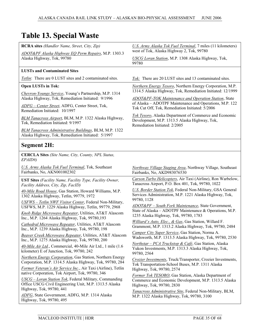| <b>RCRA sites</b> (Handler Name, Street, City, Zip)                                                              | U.S. Army Alaska Tok Fuel Terminal, 7 miles (11 kilometers)<br>west of Tok, Alaska Highway 2, Tok, 99780                                                                                                                                                                    |  |  |
|------------------------------------------------------------------------------------------------------------------|-----------------------------------------------------------------------------------------------------------------------------------------------------------------------------------------------------------------------------------------------------------------------------|--|--|
| ADOT&PF Alaska Highway EQ Perm Repairs, M.P. 1303.3<br>Alaska Highway, Tok, 99780                                | USCG Loran Station, M.P. 1308 Alaska Highway, Tok,<br>99780                                                                                                                                                                                                                 |  |  |
| <b>LUSTs and Contaminated Sites</b>                                                                              |                                                                                                                                                                                                                                                                             |  |  |
| Tetlin: There are 0 LUST sites and 2 contaminated sites.                                                         | Tok: There are 20 LUST sites and 13 contaminated sites.                                                                                                                                                                                                                     |  |  |
| <b>Open LUSTs in Tok:</b>                                                                                        | <b>Northern Energy Tesoro, Northern Energy Corporation, M.P.</b>                                                                                                                                                                                                            |  |  |
| Chevron-Youngs Service, Young's Partnership, M.P. 1314                                                           | 1314.5 Alaska Highway, Tok, Remediation Initiated: 12/1999                                                                                                                                                                                                                  |  |  |
| Alaska Highway, Tok, Remediation Initiated: 9/1996                                                               | <b>ADOT&amp;PF-TOK Maintenance and Operation Station, State</b><br>of Alaska – ADOTPF Maintenance and Operations, M.P. 122<br>Tok Cut Off, Tok, Remediation Initiated: 5/2006                                                                                               |  |  |
| ADFG - Center Street, ADFG, Center Street, Tok,<br>Remediation Initiated: 10/1997                                |                                                                                                                                                                                                                                                                             |  |  |
| BLM Tanacross Airport, BLM, M.P. 1322 Alaska Highway,<br>Tok, Remediation Initiated: 9/1997                      | Tok Tesoro, Alaska Department of Commerce and Economic<br>Development, M.P. 1313.5 Alaska Highway, Tok,<br>Remediation Initiated: 2/2005                                                                                                                                    |  |  |
| BLM Tanacross Administrative Buildings, BLM, M.P. 1322<br>Alaska Highway, Tok, Remediation Initiated: 5/1997     |                                                                                                                                                                                                                                                                             |  |  |
| <b>Segment 2H:</b>                                                                                               |                                                                                                                                                                                                                                                                             |  |  |
| <b>CERCLA Sites (Site Name, City, County, NPL Status,</b><br>EPAID#)                                             |                                                                                                                                                                                                                                                                             |  |  |
| U.S. Army Alaska Tok Fuel Terminal, Tok, Southeast<br>Fairbanks, No, AKN001002302                                | <b>Northway Village Staging Area, Northway Village, Southeast</b><br>Fairbanks, No, AKD983076530                                                                                                                                                                            |  |  |
| <b>UST Sites</b> (Facility Name, Facility Type, Facility Owner,<br>Facility Address, City, Zip, FacID)           | Carson Turbo Helicopters, Air Taxi (Airline), Ron Warbelow,<br>Tanacross Airport, P.O. Box 401, Tok, 99780, 1022                                                                                                                                                            |  |  |
| 40-Mile Road House, Gas Station, Howard Williams, M.P.<br>1302 Alaska Highway, Tetlin, 99779, 1972               | U.S. Border Station Tok, Federal Non-Military, GSA General<br>Services Administration, M.P. 1221 Alaska Highway, Tok,<br>99780, 1128                                                                                                                                        |  |  |
| USFWS - Tetlin NWF Visitor Center, Federal Non-Military,<br>USFWS, M.P. 1229 Alaska Highway, Tetlin, 99779, 2968 | ADOT&PF - South Fork Maintenance, State Government,<br>State of Alaska - ADOTPF Maintenance & Operations, M.P.<br>1235 Alaska Highway, Tok, 99780, 1783<br>Williard's Auto, Elec., & Gas, Gas Station, Willard F.<br>Grammont, M.P. 1313.2 Alaska Highway, Tok, 99780, 2484 |  |  |
| Knob Ridge Microwave Repeater, Utilities, AT&T Alascom<br>Inc., M.P. 1264 Alaska Highway, Tok, 99780,193         |                                                                                                                                                                                                                                                                             |  |  |
| Cathedral Microwave Repeater, Utilities, AT&T Alascom<br>Inc., M.P. 1239 Alaska Highway, Tok, 99780, 198         |                                                                                                                                                                                                                                                                             |  |  |
| Beaver Creek Microwave Repeater, Utilities, AT&T Alascom                                                         | Camper City Super Service, Gas Station, Norma A.<br>Wadsworth, M.P. 1313.5 Alaska Highway, Tok, 99780, 2530                                                                                                                                                                 |  |  |
| Inc., M.P. 1275 Alaska Highway, Tok, 99780, 200<br>40-Mile Air Ltd., Commercial, 40-Mile Air Ltd., 1 mile (1.6)  | Northstar - PCA Truckstop & Café, Gas Station, Alaska<br>Yukon Investments, M.P. 1313.3 Alaska Highway, Tok,                                                                                                                                                                |  |  |
| kilometer) E of Junction, Tok, 99780, 242<br>Northern Energy Corporation, Gas Station, Northern Energy           | 99780, 2564                                                                                                                                                                                                                                                                 |  |  |
| Corporation, M.P. 1314.5 Alaska Highway, Tok, 99780, 284                                                         | Crozier Investments, Truck/Transporter, Crozier Investments,<br>Tok Transportation-School Buses, M.P. 1311 Alaska                                                                                                                                                           |  |  |
| Former Veteran's Air Service Inc., Air Taxi (Airline), Tetlin                                                    | Highway, Tok, 99780, 2574                                                                                                                                                                                                                                                   |  |  |
| native Corporation, Tok Airport, Tok, 99780, 346<br>USCG – Loran Station Tok, Federal Military, Commanding       | Former Tok TESORO, Gas Station, Alaska Department of                                                                                                                                                                                                                        |  |  |
| Office USCG Civil Engineering Unit, M.P. 1313.5 Alaska<br>Highway, Tok, 99780, 441                               | Commerce and Economic Development, M.P. 1313.5 Alaska<br>Highway, Tok, 99780, 2830                                                                                                                                                                                          |  |  |
| ADFG, State Government, ADFG, M.P. 1314 Alaska<br>Highway, Tok, 99780, 495                                       | Tanacross Administrative Site, Federal Non-Military, BLM,<br>M.P. 1322 Alaska Highway, Tok, 99780, 3100                                                                                                                                                                     |  |  |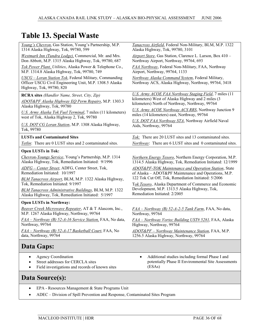| Young's Chevron, Gas Station, Young's Partnership, M.P.                                                                                       | Tanacross Airfield, Federal Non-Military, BLM, M.P. 1322                                                 |  |
|-----------------------------------------------------------------------------------------------------------------------------------------------|----------------------------------------------------------------------------------------------------------|--|
| 1314 Alaska Highway, Tok, 99780, 599                                                                                                          | Alaska Highway, Tok, 99780, 3101                                                                         |  |
| Westmark Inn (Tundra Lodge), Commercial, Mr. and Mrs.                                                                                         | Airport Store, Gas Station, Clarence L. Larson, Box 410 -                                                |  |
| Don Abbott, M.P. 1315 Alaska Highway, Tok, 99780, 687                                                                                         | Northway Airport, Northway, 99764, 693                                                                   |  |
| Tok Power Plant, Utilities, Alaska Power & Telephone Co.,                                                                                     | FAA Northway, Federal Non-Military, FAA, Northway                                                        |  |
| M.P. 1314.8 Alaska Highway, Tok, 99780, 749                                                                                                   | Airport, Northway, 99764, 1133                                                                           |  |
| USCG - Loran Station Tok, Federal Military, Commanding<br>Officer USCG Civil Engineering Unit, M.P. 1308.5 Alaska<br>Highway, Tok, 99780, 820 | Northway Alaska Command System, Federal Military,<br>Northway ACS, Alaska Highway, Northway, 99764, 3418 |  |
| RCRA sites (Handler Name, Street, City, Zip)                                                                                                  | U.S. Army ACOE FAA Northway Staging Field, 7 miles (11                                                   |  |
| ADOT&PF Alaska Highway EQ Perm Repairs, M.P. 1303.3                                                                                           | kilometers) West of Alaska Highway and 2 miles (3                                                        |  |
| Alaska Highway, Tok, 99780                                                                                                                    | kilometers) North of Northway, Northway, 99764                                                           |  |
| U.S. Army Alaska Tok Fuel Terminal, 7 miles (11 kilometers)                                                                                   | U.S. Army ACOE Northway ACS RRS, Northway Junction 9                                                     |  |
| west of Tok, Alaska Highway 2, Tok, 99780                                                                                                     | miles (14 kilometers) east, Northway, 99764                                                              |  |
| U.S. DOT CG Loran Station, M.P. 1308 Alaska Highway,                                                                                          | U.S. DOT FAA Northway STA, Northway Airfield Naval                                                       |  |
| Tok, 99780                                                                                                                                    | Aids, Northway, 99764                                                                                    |  |
| <b>LUSTs and Contaminated Sites</b>                                                                                                           | Tok: There are 20 LUST sites and 13 contaminated sites.                                                  |  |
|                                                                                                                                               | Northway: There are 6 LUST sites and 0 contaminated sites.                                               |  |
| Tetlin: There are 0 LUST sites and 2 contaminated sites.                                                                                      |                                                                                                          |  |
| <b>Open LUSTs in Tok:</b>                                                                                                                     |                                                                                                          |  |
| Chevron-Youngs Service, Young's Partnership, M.P. 1314                                                                                        | Northern Energy Tesoro, Northern Energy Corporation, M.P.                                                |  |
| Alaska Highway, Tok, Remediation Initiated: 9/1996                                                                                            | 1314.5 Alaska Highway, Tok, Remediation Initiated: 12/1999                                               |  |
| ADFG - Center Street, ADFG, Center Street, Tok,                                                                                               | ADOT&PF-TOK Maintenance and Operation Station, State                                                     |  |
| Remediation Initiated: 10/1997                                                                                                                | of Alaska – ADOT&PF Maintenance and Operations, M.P.                                                     |  |
| BLM Tanacross Airport, BLM, M.P. 1322 Alaska Highway,                                                                                         | 122 Tok Cut Off, Tok, Remediation Initiated: 5/2006                                                      |  |
| Tok, Remediation Initiated: 9/1997                                                                                                            | Tok Tesoro, Alaska Department of Commerce and Economic                                                   |  |
| <b>BLM Tanacross Administrative Buildings, BLM, M.P. 1322</b>                                                                                 | Development, M.P. 1313.5 Alaska Highway, Tok,                                                            |  |
| Alaska Highway, Tok, Remediation Initiated: 5/1997                                                                                            | Remediation Initiated: 2/2005                                                                            |  |
| <b>Open LUSTs in Northway:</b>                                                                                                                |                                                                                                          |  |
| Beaver Creek Microwave Repeater, AT & T Alascom, Inc.,                                                                                        | $FAA - Northway$ (B) 52-A-2-5 Tank Farm, FAA, No data,                                                   |  |
| M.P. 1267 Alaska Highway, Northway, 99764                                                                                                     | Northway, 99764                                                                                          |  |
| FAA - Northway (B) 52-A-16 Service Station, FAA, No data,                                                                                     | FAA – Northway Vortec Building UST# 5281, FAA, Alaska                                                    |  |
| Northway, 99764                                                                                                                               | Highway, Northway, 99764                                                                                 |  |
| FAA - Northway (B) 52-A-17 Basketball Court, FAA, No                                                                                          | ADOT&PF - Northway Maintenance Station, FAA, M.P.                                                        |  |
| data, Northway, 99764                                                                                                                         | 1256.5 Alaska Highway, Northway, 99764                                                                   |  |

## **Data Gaps:**

- Agency Coordination
- Street addresses for CERCLA sites
- Field investigations and records of known sites
- Additional studies including formal Phase I and potentially Phase II Environmental Site Assessments (ESAs)

## **Data Source(s):**

- EPA Resources Management & State Programs Unit
- ADEC Division of Spill Prevention and Response, Contaminated Sites Program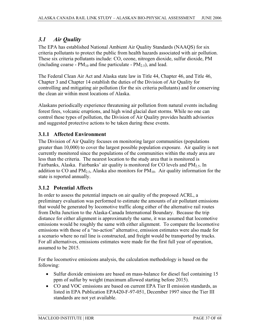## *3.1 Air Quality*

The EPA has established National Ambient Air Quality Standards (NAAQS) for six criteria pollutants to protect the public from health hazards associated with air pollution. These six criteria pollutants include: CO, ozone, nitrogen dioxide, sulfur dioxide, PM (including coarse -  $PM_{10}$  and fine particulate -  $PM_{2.5}$ ), and lead.

The Federal Clean Air Act and Alaska state law in Title 44, Chapter 46, and Title 46, Chapter 3 and Chapter 14 establish the duties of the Division of Air Quality for controlling and mitigating air pollution (for the six criteria pollutants) and for conserving the clean air within most locations of Alaska.

Alaskans periodically experience threatening air pollution from natural events including forest fires, volcanic eruptions, and high wind glacial dust storms. While no one can control these types of pollution, the Division of Air Quality provides health advisories and suggested protective actions to be taken during these events.

## **3.1.1 Affected Environment**

The Division of Air Quality focuses on monitoring larger communities (populations greater than 10,000) to cover the largest possible population exposure. Air quality is not currently monitored since the populations of the communities within the study area are less than the criteria. The nearest location to the study area that is monitored is Fairbanks, Alaska. Fairbanks' air quality is monitored for CO levels and  $PM_{2.5}$ . In addition to CO and  $PM_{2.5}$ , Alaska also monitors for  $PM_{10}$ . Air quality information for the state is reported annually.

## **3.1.2 Potential Affects**

In order to assess the potential impacts on air quality of the proposed ACRL, a preliminary evaluation was performed to estimate the amounts of air pollutant emissions that would be generated by locomotive traffic along either of the alternative rail routes from Delta Junction to the Alaska-Canada International Boundary. Because the trip distance for either alignment is approximately the same, it was assumed that locomotive emissions would be roughly the same with either alignment. To compare the locomotive emissions with those of a "no-action" alternative, emission estimates were also made for a scenario where no rail line is constructed, and freight would be transported by trucks. For all alternatives, emissions estimates were made for the first full year of operation, assumed to be 2015.

For the locomotive emissions analysis, the calculation methodology is based on the following:

- Sulfur dioxide emissions are based on mass-balance for diesel fuel containing 15 ppm of sulfur by weight (maximum allowed starting before 2015).
- CO and VOC emissions are based on current EPA Tier II emission standards, as listed in EPA Publication EPA420-F-97-051, December 1997 since the Tier III standards are not yet available.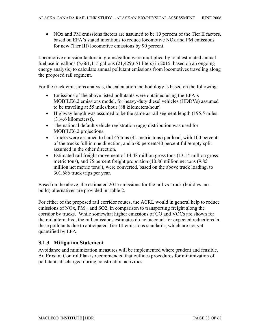• NOx and PM emissions factors are assumed to be 10 percent of the Tier II factors, based on EPA's stated intentions to reduce locomotive NOx and PM emissions for new (Tier III) locomotive emissions by 90 percent.

Locomotive emission factors in grams/gallon were multiplied by total estimated annual fuel use in gallons (5,661,115 gallons (21,429,651 liters) in 2015, based on an ongoing energy analysis) to calculate annual pollutant emissions from locomotives traveling along the proposed rail segment.

For the truck emissions analysis, the calculation methodology is based on the following:

- Emissions of the above listed pollutants were obtained using the EPA's MOBILE6.2 emissions model, for heavy-duty diesel vehicles (HDDVs) assumed to be traveling at 55 miles/hour (88 kilometers/hour).
- $\bullet$  Highway length was assumed to be the same as rail segment length (195.5 miles (314.6 kilometers)).
- The national default vehicle registration (age) distribution was used for MOBILE6.2 projections.
- Trucks were assumed to haul 45 tons (41 metric tons) per load, with 100 percent of the trucks full in one direction, and a 60 percent/40 percent full/empty split assumed in the other direction.
- Estimated rail freight movement of  $14.48$  million gross tons (13.14 million gross metric tons), and 75 percent freight proportion (10.86 million net tons (9.85 million net metric tons)), were converted, based on the above truck loading, to 301,686 truck trips per year.

Based on the above, the estimated 2015 emissions for the rail vs. truck (build vs. nobuild) alternatives are provided in Table 2.

For either of the proposed rail corridor routes, the ACRL would in general help to reduce emissions of NOx,  $PM_{10}$  and SO2, in comparison to transporting freight along the corridor by trucks. While somewhat higher emissions of CO and VOCs are shown for the rail alternative, the rail emissions estimates do not account for expected reductions in these pollutants due to anticipated Tier III emissions standards, which are not yet quantified by EPA.

## **3.1.3 Mitigation Statement**

Avoidance and minimization measures will be implemented where prudent and feasible. An Erosion Control Plan is recommended that outlines procedures for minimization of pollutants discharged during construction activities.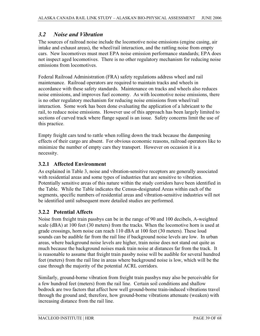## *3.2 Noise and Vibration*

The sources of railroad noise include the locomotive noise emissions (engine casing, air intake and exhaust areas), the wheel/rail interaction, and the rattling noise from empty cars. New locomotives must meet EPA noise emission performance standards; EPA does not inspect aged locomotives. There is no other regulatory mechanism for reducing noise emissions from locomotives.

Federal Railroad Administration (FRA) safety regulations address wheel and rail maintenance. Railroad operators are required to maintain tracks and wheels in accordance with these safety standards. Maintenance on tracks and wheels also reduces noise emissions, and improves fuel economy. As with locomotive noise emissions, there is no other regulatory mechanism for reducing noise emissions from wheel/rail interaction. Some work has been done evaluating the application of a lubricant to the rail, to reduce noise emissions. However use of this approach has been largely limited to sections of curved track where flange squeal is an issue. Safety concerns limit the use of this practice.

Empty freight cars tend to rattle when rolling down the track because the dampening effects of their cargo are absent. For obvious economic reasons, railroad operators like to minimize the number of empty cars they transport. However on occasion it is a necessity.

## **3.2.1 Affected Environment**

As explained in Table 3, noise and vibration-sensitive receptors are generally associated with residential areas and some types of industries that are sensitive to vibration. Potentially sensitive areas of this nature within the study corridors have been identified in the Table. While the Table indicates the Census-designated Areas within each of the segments, specific numbers of residential areas and vibration-sensitive industries will not be identified until subsequent more detailed studies are performed.

## **3.2.2 Potential Affects**

Noise from freight train passbys can be in the range of 90 and 100 decibels, A-weighted scale (dBA) at 100 feet (30 meters) from the tracks. When the locomotive horn is used at grade crossings, horn noise can reach 110 dBA at 100 feet (30 meters). These loud sounds can be audible far from the rail line if background noise levels are low. In urban areas, where background noise levels are higher, train noise does not stand out quite as much because the background noises mask train noise at distances far from the track. It is reasonable to assume that freight train passby noise will be audible for several hundred feet (meters) from the rail line in areas where background noise is low, which will be the case through the majority of the potential ACRL corridors.

Similarly, ground-borne vibration from freight train passbys may also be perceivable for a few hundred feet (meters) from the rail line. Certain soil conditions and shallow bedrock are two factors that affect how well ground-borne train-induced vibrations travel through the ground and; therefore, how ground-borne vibrations attenuate (weaken) with increasing distance from the rail line.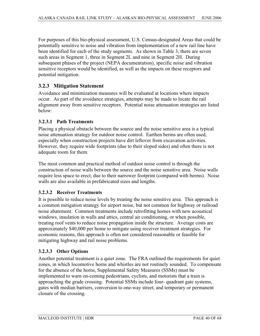For purposes of this bio-physical assessment, U.S. Census-designated Areas that could be potentially sensitive to noise and vibration from implementation of a new rail line have been identified for each of the study segments. As shown in Table 3, there are seven such areas in Segment 1, three in Segment 2L and nine in Segment 2H. During subsequent phases of the project (NEPA documentation), specific noise and vibration sensitive receptors would be identified, as well as the impacts on these receptors and potential mitigation.

## **3.2.3 Mitigation Statement**

Avoidance and minimization measures will be evaluated at locations where impacts occur. As part of the avoidance strategies, attempts may be made to locate the rail alignment away from sensitive receptors. Potential noise attenuation strategies are listed below:

#### **3.2.3.1 Path Treatments**

Placing a physical obstacle between the source and the noise sensitive area is a typical noise attenuation strategy for outdoor noise control. Earthen berms are often used, especially when construction projects have dirt leftover from excavation activities. However, they require wide footprints (due to their sloped sides) and often there is not adequate room for them.

The most common and practical method of outdoor noise control is through the construction of noise walls between the source and the noise sensitive area. Noise walls require less space to erect, due to their narrower footprint (compared with berms). Noise walls are also available in prefabricated sizes and lengths.

#### **3.2.3.2 Receiver Treatments**

It is possible to reduce noise levels by treating the noise sensitive area. This approach is a common mitigation strategy for airport noise, but not common for highway or railroad noise abatement. Common treatments include retrofitting homes with new acoustical windows, insulation in walls and attics, central air conditioning, or when possible, treating roof vents to reduce noise propagation inside the structure. Average costs are approximately \$40,000 per home to mitigate using receiver treatment strategies. For economic reasons, this approach is often not considered reasonable or feasible for mitigating highway and rail noise problems.

#### **3.2.3.3 Other Options**

Another potential treatment is a quiet zone. The FRA outlined the requirements for quiet zones, in which locomotive horns and whistles are not routinely sounded. To compensate for the absence of the horns, Supplemental Safety Measures (SSMs) must be implemented to warn on-coming pedestrians, cyclists, and motorists that a train is approaching the grade crossing. Potential SSMs include four- quadrant gate systems, gates with median barriers, conversion to one-way street, and temporary or permanent closure of the crossing.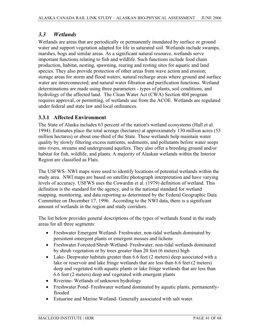## *3.3 Wetlands*

Wetlands are areas that are periodically or permanently inundated by surface or ground water and support vegetation adapted for life in saturated soil. Wetlands include swamps, marshes, bogs and similar areas. As a significant natural resource, wetlands serve important functions relating to fish and wildlife. Such functions include food chain production, habitat, nesting, spawning, rearing and resting sites for aquatic and land species. They also provide protection of other areas from wave action and erosion; storage areas for storm and flood waters; natural recharge areas where ground and surface water are interconnected; and natural water filtration and purification functions. Wetland determinations are made using three parameters - types of plants, soil conditions, and hydrology of the affected land. The Clean Water Act (CWA) Section 404 program requires approval, or permitting, of wetlands use from the ACOE. Wetlands are regulated under federal and state law and local ordinances.

## **3.3.1 Affected Environment**

The State of Alaska includes 63 percent of the nation's wetland ecosystems (Hall et al. 1994). Estimates place the total acreage (hectares) at approximately 130 million acres (53 million hectares) or about one-third of the State. These wetlands help maintain water quality by slowly filtering excess nutrients, sediments, and pollutants before water seeps into rivers, streams and underground aquifers. They also offer a breeding ground and/or habitat for fish, wildlife, and plants. A majority of Alaskan wetlands within the Interior Region are classified as Flats.

The USFWS- NWI maps were used to identify locations of potential wetlands within the study area. NWI maps are based on satellite photograph interpretation and have varying levels of accuracy. USFWS uses the Cowardin et al. (1979) definition of wetland. This definition is the standard for the agency, and is the national standard for wetland mapping, monitoring, and data reporting as determined by the Federal Geographic Data Committee on December 17, 1996. According to the NWI data, there is a significant amount of wetlands in the region and study corridors.

The list below provides general descriptions of the types of wetlands found in the study areas for all three segments:

- Freshwater Emergent Wetland- Freshwater, non-tidal wetlands dominated by persistent emergent plants or emergent mosses and lichens
- Freshwater Forested/Shrub Wetland- Freshwater, non-tidal wetlands dominated by shrub vegetation or by trees greater than 20 feet (6 meters) high
- Lake- Deepwater habitats greater than  $6.6$  feet (2 meters) deep associated with a lake or reservoir and lake fringe wetlands that are less than 6.6 feet (2 meters) deep and vegetated with aquatic plants or lake fringe wetlands that are less than 6.6 feet (2 meters) deep and vegetated with emergent plants
- Riverine- Wetlands of unknown hydrology
- Freshwater Pond- Freshwater wetland dominated by aquatic plants, permanentlyflooded
- Estuarine and Marine Wetland- Generally associated with salt water.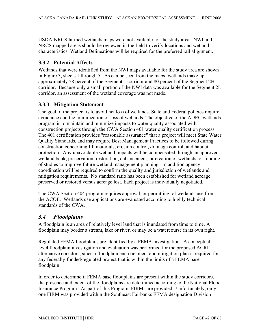USDA-NRCS farmed wetlands maps were not available for the study area. NWI and NRCS mapped areas should be reviewed in the field to verify locations and wetland characteristics. Wetland Delineations will be required for the preferred rail alignment.

## **3.3.2 Potential Affects**

Wetlands that were identified from the NWI maps available for the study area are shown in Figure 3, sheets 1 through 5. As can be seen from the maps, wetlands make up approximately 58 percent of the Segment 1 corridor and 80 percent of the Segment 2H corridor. Because only a small portion of the NWI data was available for the Segment 2L corridor, an assessment of the wetland coverage was not made.

## **3.3.3 Mitigation Statement**

The goal of the project is to avoid net loss of wetlands. State and Federal policies require avoidance and the minimization of loss of wetlands. The objective of the ADEC wetlands program is to maintain and minimize impacts to water quality associated with construction projects through the CWA Section 401 water quality certification process. The 401 certification provides "reasonable assurance" that a project will meet State Water Quality Standards, and may require Best Management Practices to be followed during construction concerning fill materials, erosion control, drainage control, and habitat protection. Any unavoidable wetland impacts will be compensated through an approved wetland bank, preservation, restoration, enhancement, or creation of wetlands, or funding of studies to improve future wetland management planning. In addition agency coordination will be required to confirm the quality and jurisdiction of wetlands and mitigation requirements. No standard ratio has been established for wetland acreage preserved or restored versus acreage lost. Each project is individually negotiated.

The CWA Section 404 program requires approval, or permitting, of wetlands use from the ACOE. Wetlands use applications are evaluated according to highly technical standards of the CWA.

## *3.4 Floodplains*

A floodplain is an area of relatively level land that is inundated from time to time. A floodplain may border a stream, lake or river, or may be a watercourse in its own right.

Regulated FEMA floodplains are identified by a FEMA investigation. A conceptuallevel floodplain investigation and evaluation was performed for the proposed ACRL alternative corridors, since a floodplain encroachment and mitigation plan is required for any federally-funded/regulated project that is within the limits of a FEMA base floodplain.

In order to determine if FEMA base floodplains are present within the study corridors, the presence and extent of the floodplains are determined according to the National Flood Insurance Program. As part of this Program, FIRMs are provided. Unfortunately, only one FIRM was provided within the Southeast Fairbanks FEMA designation Division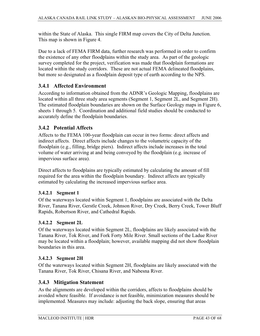within the State of Alaska. This single FIRM map covers the City of Delta Junction. This map is shown in Figure 4.

Due to a lack of FEMA FIRM data, further research was performed in order to confirm the existence of any other floodplains within the study area. As part of the geologic survey completed for the project, verification was made that floodplain formations are located within the study corridors. These are not actual FEMA delineated floodplains, but more so designated as a floodplain deposit type of earth according to the NPS.

## **3.4.1 Affected Environment**

According to information obtained from the ADNR's Geologic Mapping, floodplains are located within all three study area segments (Segment 1, Segment 2L, and Segment 2H). The estimated floodplain boundaries are shown on the Surface Geology maps in Figure 6, sheets 1 through 5. Coordination and additional field studies should be conducted to accurately define the floodplain boundaries.

## **3.4.2 Potential Affects**

Affects to the FEMA 100-year floodplain can occur in two forms: direct affects and indirect affects. Direct affects include changes to the volumetric capacity of the floodplain (e.g., filling, bridge piers). Indirect affects include increases in the total volume of water arriving at and being conveyed by the floodplain (e.g. increase of impervious surface area).

Direct affects to floodplains are typically estimated by calculating the amount of fill required for the area within the floodplain boundary. Indirect affects are typically estimated by calculating the increased impervious surface area.

## **3.4.2.1 Segment 1**

Of the waterways located within Segment 1, floodplains are associated with the Delta River, Tanana River, Gerstle Creek, Johnson River, Dry Creek, Berry Creek, Tower Bluff Rapids, Robertson River, and Cathedral Rapids.

## **3.4.2.2 Segment 2L**

Of the waterways located within Segment 2L, floodplains are likely associated with the Tanana River, Tok River, and Fork Forty Mile River. Small sections of the Ladue River may be located within a floodplain; however, available mapping did not show floodplain boundaries in this area.

## **3.4.2.3 Segment 2H**

Of the waterways located within Segment 2H, floodplains are likely associated with the Tanana River, Tok River, Chisana River, and Nabesna River.

## **3.4.3 Mitigation Statement**

As the alignments are developed within the corridors, affects to floodplains should be avoided where feasible. If avoidance is not feasible, minimization measures should be implemented. Measures may include: adjusting the back slope, ensuring that areas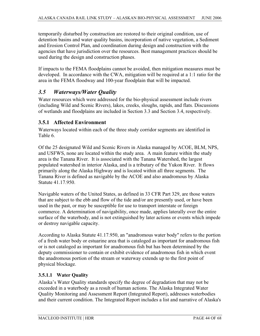temporarily disturbed by construction are restored to their original condition, use of detention basins and water quality basins, incorporation of native vegetation, a Sediment and Erosion Control Plan, and coordination during design and construction with the agencies that have jurisdiction over the resources. Best management practices should be used during the design and construction phases.

If impacts to the FEMA floodplains cannot be avoided, then mitigation measures must be developed. In accordance with the CWA, mitigation will be required at a 1:1 ratio for the area in the FEMA floodway and 100-year floodplain that will be impacted.

## *3.5 Waterways/Water Quality*

Water resources which were addressed for the bio-physical assessment include rivers (including Wild and Scenic Rivers), lakes, creeks, sloughs, rapids, and flats. Discussions of wetlands and floodplains are included in Section 3.3 and Section 3.4, respectively.

#### **3.5.1 Affected Environment**

Waterways located within each of the three study corridor segments are identified in Table 6.

Of the 25 designated Wild and Scenic Rivers in Alaska managed by ACOE, BLM, NPS, and USFWS, none are located within the study area. A main feature within the study area is the Tanana River. It is associated with the Tanana Watershed, the largest populated watershed in interior Alaska, and is a tributary of the Yukon River. It flows primarily along the Alaska Highway and is located within all three segments. The Tanana River is defined as navigable by the ACOE and also anadromous by Alaska Statute 41.17.950.

Navigable waters of the United States, as defined in 33 CFR Part 329, are those waters that are subject to the ebb and flow of the tide and/or are presently used, or have been used in the past, or may be susceptible for use to transport interstate or foreign commerce. A determination of navigability, once made, applies laterally over the entire surface of the waterbody, and is not extinguished by later actions or events which impede or destroy navigable capacity.

According to Alaska Statute 41.17.950, an "anadromous water body" refers to the portion of a fresh water body or estuarine area that is cataloged as important for anadromous fish or is not cataloged as important for anadromous fish but has been determined by the deputy commissioner to contain or exhibit evidence of anadromous fish in which event the anadromous portion of the stream or waterway extends up to the first point of physical blockage.

#### **3.5.1.1 Water Quality**

Alaska's Water Quality standards specify the degree of degradation that may not be exceeded in a waterbody as a result of human actions. The Alaska Integrated Water Quality Monitoring and Assessment Report (Integrated Report), addresses waterbodies and their current condition. The Integrated Report includes a list and narrative of Alaska's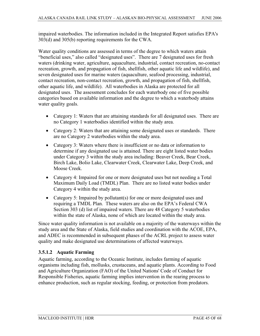impaired waterbodies. The information included in the Integrated Report satisfies EPA's 303(d) and 305(b) reporting requirements for the CWA.

Water quality conditions are assessed in terms of the degree to which waters attain "beneficial uses," also called "designated uses". There are 7 designated uses for fresh waters (drinking water, agriculture, aquaculture, industrial, contact recreation, no-contact recreation, growth, and propagation of fish, shellfish, other aquatic life and wildlife), and seven designated uses for marine waters (aquaculture, seafood processing, industrial, contact recreation, non-contact recreation, growth, and propagation of fish, shellfish, other aquatic life, and wildlife). All waterbodies in Alaska are protected for all designated uses. The assessment concludes for each waterbody one of five possible categories based on available information and the degree to which a waterbody attains water quality goals.

- Category 1: Waters that are attaining standards for all designated uses. There are no Category 1 waterbodies identified within the study area.
- Category 2: Waters that are attaining some designated uses or standards. There are no Category 2 waterbodies within the study area.
- Category 3: Waters where there is insufficient or no data or information to determine if any designated use is attained. There are eight listed water bodies under Category 3 within the study area including: Beaver Creek, Bear Creek, Birch Lake, Bolio Lake, Clearwater Creek, Clearwater Lake, Deep Creek, and Moose Creek.
- Category 4: Impaired for one or more designated uses but not needing a Total Maximum Daily Load (TMDL) Plan. There are no listed water bodies under Category 4 within the study area.
- Category 5: Impaired by pollutant(s) for one or more designated uses and requiring a TMDL Plan. These waters are also on the EPA's Federal CWA Section 303 (d) list of impaired waters. There are 48 Category 5 waterbodies within the state of Alaska, none of which are located within the study area.

Since water quality information is not available on a majority of the waterways within the study area and the State of Alaska, field studies and coordination with the ACOE, EPA, and ADEC is recommended in subsequent phases of the ACRL project to assess water quality and make designated use determinations of affected waterways.

#### **3.5.1.2 Aquatic Farming**

Aquatic farming, according to the Oceanic Institute, includes farming of aquatic organisms including fish, mollusks, crustaceans, and aquatic plants. According to Food and Agriculture Organization (FAO) of the United Nations' Code of Conduct for Responsible Fisheries, aquatic farming implies intervention in the rearing process to enhance production, such as regular stocking, feeding, or protection from predators.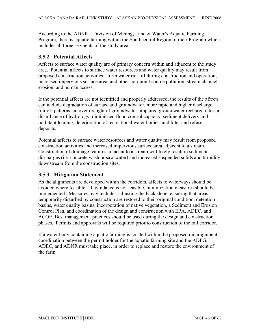According to the ADNR – Division of Mining, Land & Water's Aquatic Farming Program, there is aquatic farming within the Southcentral Region of their Program which includes all three segments of the study area.

#### **3.5.2 Potential Affects**

Affects to surface water quality are of primary concern within and adjacent to the study area. Potential affects to surface water resources and water quality may result from proposed construction activities, storm water run-off during construction and operation, increased impervious surface area, and other non-point source pollution, stream channel erosion, and human access.

If the potential affects are not identified and properly addressed, the results of the affects can include degradation of surface and groundwater, more rapid and higher discharge run-off patterns, an over draught of groundwater, impaired groundwater recharge rates, a disturbance of hydrology, diminished flood control capacity, sediment delivery and pollutant loading, deterioration of recreational water bodies, and litter and refuse deposits.

Potential affects to surface water resources and water quality may result from proposed construction activities and increased impervious surface area adjacent to a stream. Construction of drainage features adjacent to a stream will likely result in sediment discharges (i.e. concrete wash or saw water) and increased suspended solids and turbidity downstream from the construction sites.

## **3.5.3 Mitigation Statement**

As the alignments are developed within the corridors, affects to waterways should be avoided where feasible. If avoidance is not feasible, minimization measures should be implemented. Measures may include: adjusting the back slope, ensuring that areas temporarily disturbed by construction are restored to their original condition, detention basins, water quality basins, incorporation of native vegetation, a Sediment and Erosion Control Plan, and coordination of the design and construction with EPA, ADEC, and ACOE. Best management practices should be used during the design and construction phases. Permits and approvals will be required prior to construction of the rail corridor.

If a water body containing aquatic farming is located within the proposed rail alignment, coordination between the permit holder for the aquatic farming site and the ADFG, ADEC, and ADNR must take place, in order to replace and restore the environment of the farm.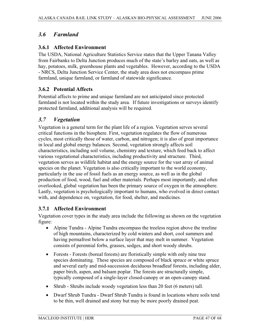## *3.6 Farmland*

## **3.6.1 Affected Environment**

The USDA, National Agriculture Statistics Service states that the Upper Tanana Valley from Fairbanks to Delta Junction produces much of the state's barley and oats, as well as hay, potatoes, milk, greenhouse plants and vegetables. However, according to the USDA - NRCS, Delta Junction Service Center, the study area does not encompass prime farmland, unique farmland, or farmland of statewide significance.

## **3.6.2 Potential Affects**

Potential affects to prime and unique farmland are not anticipated since protected farmland is not located within the study area. If future investigations or surveys identify protected farmland, additional analysis will be required.

## *3.7 Vegetation*

Vegetation is a general term for the plant life of a region. Vegetation serves several critical functions in the biosphere. First, vegetation regulates the flow of numerous cycles, most critically those of water, carbon, and nitrogen; it is also of great importance in local and global energy balances. Second, vegetation strongly affects soil characteristics, including soil volume, chemistry and texture, which feed back to affect various vegetational characteristics, including productivity and structure. Third, vegetation serves as wildlife habitat and the energy source for the vast array of animal species on the planet. Vegetation is also critically important to the world economy, particularly in the use of fossil fuels as an energy source, as well as in the global production of food, wood, fuel and other materials. Perhaps most importantly, and often overlooked, global vegetation has been the primary source of oxygen in the atmosphere. Lastly, vegetation is psychologically important to humans, who evolved in direct contact with, and dependence on, vegetation, for food, shelter, and medicines.

## **3.7.1 Affected Environment**

Vegetation cover types in the study area include the following as shown on the vegetation figure:

- Alpine Tundra Alpine Tundra encompass the treeless region above the treeline of high mountains, characterized by cold winters and short, cool summers and having permafrost below a surface layer that may melt in summer. Vegetation consists of perennial forbs, grasses, sedges, and short woody shrubs.
- Forests Forests (boreal forests) are floristically simple with only nine tree species dominating. These species are composed of black spruce or white spruce and several early and mid-succession deciduous broadleaf forests, including alder, paper birch, aspen, and balsam poplar. The forests are structurally simple, typically composed of a single-layer closed-canopy or an open-canopy stand.
- Shrub Shrubs include woody vegetation less than 20 feet (6 meters) tall.
- Dwarf Shrub Tundra Dwarf Shrub Tundra is found in locations where soils tend to be thin, well drained and stony but may be more poorly drained peat.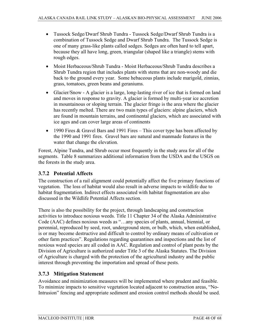- Tussock Sedge/Dwarf Shrub Tundra Tussock Sedge/Dwarf Shrub Tundra is a combination of Tussock Sedge and Dwarf Shrub Tundra. The Tussock Sedge is one of many grass-like plants called sedges. Sedges are often hard to tell apart, because they all have long, green, triangular (shaped like a triangle) stems with rough edges.
- Moist Herbaceous/Shrub Tundra Moist Herbaceous/Shrub Tundra describes a Shrub Tundra region that includes plants with stems that are non-woody and die back to the ground every year. Some hebaceous plants include marigold, zinnias, grass, tomatoes, green beans and geraniums.
- Glacier/Snow A glacier is a large, long-lasting river of ice that is formed on land and moves in response to gravity. A glacier is formed by multi-year ice accretion in mountainous or sloping terrain. The glacier fringe is the area where the glacier has recently melted. There are two main types of glaciers: alpine glaciers, which are found in mountain terrains, and continental glaciers, which are associated with ice ages and can cover large areas of continents
- 1990 Fires & Gravel Bars and 1991 Fires This cover type has been affected by the 1990 and 1991 fires. Gravel bars are natural and manmade features in the water that change the elevation.

Forest, Alpine Tundra, and Shrub occur most frequently in the study area for all of the segments. Table 8 summarizes additional information from the USDA and the USGS on the forests in the study area.

## **3.7.2 Potential Affects**

The construction of a rail alignment could potentially affect the five primary functions of vegetation. The loss of habitat would also result in adverse impacts to wildlife due to habitat fragmentation. Indirect effects associated with habitat fragmentation are also discussed in the Wildlife Potential Affects section.

There is also the possibility for the project, through landscaping and construction activities to introduce noxious weeds. Title 11 Chapter 34 of the Alaska Administrative Code (AAC) defines noxious weeds as "…any species of plants, annual, biennial, or perennial, reproduced by seed, root, underground stem, or bulb, which, when established, is or may become destructive and difficult to control by ordinary means of cultivation or other farm practices". Regulations regarding quarantines and inspections and the list of noxious weed species are all coded in AAC. Regulation and control of plant pests by the Division of Agriculture is authorized under Title 3 of the Alaska Statutes. The Division of Agriculture is charged with the protection of the agricultural industry and the public interest through preventing the importation and spread of these pests.

## **3.7.3 Mitigation Statement**

Avoidance and minimization measures will be implemented where prudent and feasible. To minimize impacts to sensitive vegetation located adjacent to construction areas, "No-Intrusion" fencing and appropriate sediment and erosion control methods should be used.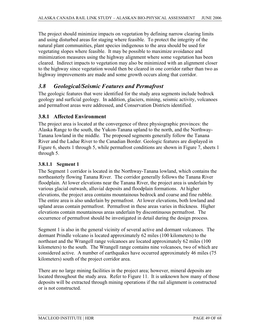The project should minimize impacts on vegetation by defining narrow clearing limits and using disturbed areas for staging where feasible. To protect the integrity of the natural plant communities, plant species indigenous to the area should be used for vegetating slopes where feasible. It may be possible to maximize avoidance and minimization measures using the highway alignment where some vegetation has been cleared. Indirect impacts to vegetation may also be minimized with an alignment closer to the highway since vegetation would then be cleared in one corridor rather than two as highway improvements are made and some growth occurs along that corridor.

## *3.8 Geological/Seismic Features and Permafrost*

The geologic features that were identified for the study area segments include bedrock geology and surficial geology. In addition, glaciers, mining, seismic activity, volcanoes and permafrost areas were addressed, and Conservation Districts identified.

#### **3.8.1 Affected Environment**

The project area is located at the convergence of three physiographic provinces: the Alaska Range to the south, the Yukon-Tanana upland to the north, and the Northway-Tanana lowland in the middle. The proposed segments generally follow the Tanana River and the Ladue River to the Canadian Border. Geologic features are displayed in Figure 6, sheets 1 through 5, while permafrost conditions are shown in Figure 7, sheets 1 through 5.

#### **3.8.1.1 Segment 1**

The Segment 1 corridor is located in the Northway-Tanana lowland, which contains the northeasterly flowing Tanana River. The corridor generally follows the Tanana River floodplain. At lower elevations near the Tanana River, the project area is underlain by various glacial outwash, alluvial deposits and floodplain formations. At higher elevations, the project area contains mountainous bedrock and coarse and fine rubble. The entire area is also underlain by permafrost. At lower elevations, both lowland and upland areas contain permafrost. Permafrost in these areas varies in thickness. Higher elevations contain mountainous areas underlain by discontinuous permafrost. The occurrence of permafrost should be investigated in detail during the design process.

Segment 1 is also in the general vicinity of several active and dormant volcanoes. The dormant Prindle volcano is located approximately 62 miles (100 kilometers) to the northeast and the Wrangell range volcanoes are located approximately 62 miles (100 kilometers) to the south. The Wrangell range contains nine volcanoes, two of which are considered active. A number of earthquakes have occurred approximately 46 miles (75 kilometers) south of the project corridor area.

There are no large mining facilities in the project area; however, mineral deposits are located throughout the study area. Refer to Figure 11. It is unknown how many of those deposits will be extracted through mining operations if the rail alignment is constructed or is not constructed.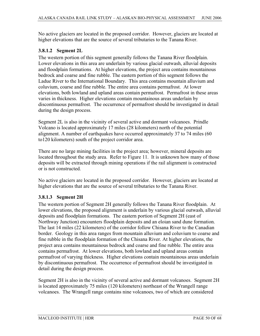No active glaciers are located in the proposed corridor. However, glaciers are located at higher elevations that are the source of several tributaries to the Tanana River.

#### **3.8.1.2 Segment 2L**

The western portion of this segment generally follows the Tanana River floodplain. Lower elevations in this area are underlain by various glacial outwash, alluvial deposits and floodplain formations. At higher elevations, the project area contains mountainous bedrock and coarse and fine rubble. The eastern portion of this segment follows the Ladue River to the International Boundary. This area contains mountain alluvium and coluvium, coarse and fine rubble. The entire area contains permafrost. At lower elevations, both lowland and upland areas contain permafrost. Permafrost in these areas varies in thickness. Higher elevations contain mountainous areas underlain by discontinuous permafrost. The occurrence of permafrost should be investigated in detail during the design process.

Segment 2L is also in the vicinity of several active and dormant volcanoes. Prindle Volcano is located approximately 17 miles (28 kilometers) north of the potential alignment. A number of earthquakes have occurred approximately 37 to 74 miles (60 to120 kilometers) south of the project corridor area.

There are no large mining facilities in the project area; however, mineral deposits are located throughout the study area. Refer to Figure 11. It is unknown how many of those deposits will be extracted through mining operations if the rail alignment is constructed or is not constructed.

No active glaciers are located in the proposed corridor. However, glaciers are located at higher elevations that are the source of several tributaries to the Tanana River.

#### **3.8.1.3 Segment 2H**

The western portion of Segment 2H generally follows the Tanana River floodplain. At lower elevations, the proposed alignment is underlain by various glacial outwash, alluvial deposits and floodplain formations. The eastern portion of Segment 2H (east of Northway Junction) encounters floodplain deposits and an eloian sand dune formation. The last 14 miles (22 kilometers) of the corridor follow Chisana River to the Canadian border. Geology in this area ranges from mountain alluvium and coluvium to coarse and fine rubble in the floodplain formation of the Chisana River. At higher elevations, the project area contains mountainous bedrock and coarse and fine rubble. The entire area contains permafrost. At lower elevations, both lowland and upland areas contain permafrost of varying thickness. Higher elevations contain mountainous areas underlain by discontinuous permafrost. The occurrence of permafrost should be investigated in detail during the design process.

Segment 2H is also in the vicinity of several active and dormant volcanoes. Segment 2H is located approximately 75 miles (120 kilometers) northeast of the Wrangell range volcanoes. The Wrangell range contains nine volcanoes, two of which are considered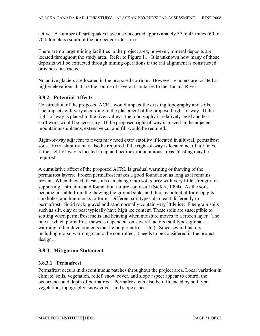active. A number of earthquakes have also occurred approximately 37 to 43 miles (60 to 70 kilometers) south of the project corridor area.

There are no large mining facilities in the project area; however, mineral deposits are located throughout the study area. Refer to Figure 11. It is unknown how many of those deposits will be extracted through mining operations if the rail alignment is constructed or is not constructed.

No active glaciers are located in the proposed corridor. However, glaciers are located at higher elevations that are the source of several tributaries to the Tanana River.

#### **3.8.2 Potential Affects**

Construction of the proposed ACRL would impact the existing topography and soils. The impacts will vary according to the placement of the proposed right-of-way. If the right-of-way is placed in the river valleys, the topography is relatively level and less earthwork would be necessary. If the proposed right-of-way is placed in the adjacent mountainous uplands, extensive cut and fill would be required.

Right-of-way adjacent to rivers may need extra stability if located in alluvial, permafrost soils. Extra stability may also be required if the right-of-way is located near fault lines. If the right-of-way is located in upland bedrock mountainous areas, blasting may be required.

A cumulative affect of the proposed ACRL is gradual warming or thawing of the permafrost layers. Frozen permafrost makes a good foundation as long as it remains frozen. When thawed, these soils can change into soft slurry with very little strength for supporting a structure and foundation failure can result (Siefert, 1994). As the soils become unstable from the thawing the ground sinks and there is potential for deep pits, sinkholes, and hummocks to form. Different soil types also react differently to permafrost. Solid rock, gravel and sand normally contain very little ice. Fine grain soils such as silt, clay or peat typically have high ice content. These soils are susceptible to settling when permafrost melts and heaving when moisture moves to a frozen layer. The rate at which permafrost thaws is dependent on several factors (soil types, global warming, other developments that lie on permafrost, etc.). Since several factors including global warming cannot be controlled, it needs to be considered in the project design.

## **3.8.3 Mitigation Statement**

#### **3.8.3.1 Permafrost**

Permafrost occurs in discontinuous patches throughout the project area. Local variation in climate, soils, vegetation, relief, snow cover, and slope aspect appear to control the occurrence and depth of permafrost. Permafrost can also be influenced by soil type, vegetation, topography, snow cover, and slope aspect.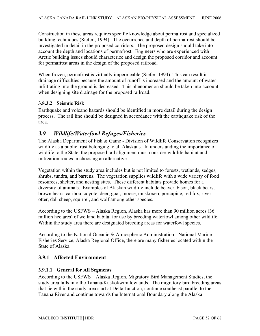Construction in these areas requires specific knowledge about permafrost and specialized building techniques (Siefert, 1994). The occurrence and depth of permafrost should be investigated in detail in the proposed corridors. The proposed design should take into account the depth and locations of permafrost. Engineers who are experienced with Arctic building issues should characterize and design the proposed corridor and account for permafrost areas in the design of the proposed railroad.

When frozen, permafrost is virtually impermeable (Siefert 1994). This can result in drainage difficulties because the amount of runoff is increased and the amount of water infiltrating into the ground is decreased. This phenomenon should be taken into account when designing site drainage for the proposed railroad.

#### **3.8.3.2 Seismic Risk**

Earthquake and volcano hazards should be identified in more detail during the design process. The rail line should be designed in accordance with the earthquake risk of the area.

## *3.9 Wildlife/Waterfowl Refuges/Fisheries*

The Alaska Department of Fish & Game - Division of Wildlife Conservation recognizes wildlife as a public trust belonging to all Alaskans. In understanding the importance of wildlife to the State, the proposed rail alignment must consider wildlife habitat and mitigation routes in choosing an alternative.

Vegetation within the study area includes but is not limited to forests, wetlands, sedges, shrubs, tundra, and barrens. The vegetation supplies wildlife with a wide variety of food resources, shelter, and nesting sites. These different habitats provide homes for a diversity of animals. Examples of Alaskan wildlife include beaver, bison, black bears, brown bears, caribou, coyote, deer, goat, moose, muskoxen, porcupine, red fox, river otter, dall sheep, squirrel, and wolf among other species.

According to the USFWS – Alaska Region, Alaska has more than 90 million acres (36 million hectares) of wetland habitat for use by breeding waterfowl among other wildlife. Within the study area there are designated breeding areas for waterfowl species.

According to the National Oceanic & Atmospheric Administration - National Marine Fisheries Service, Alaska Regional Office, there are many fisheries located within the State of Alaska.

## **3.9.1 Affected Environment**

#### **3.9.1.1 General for All Segments**

According to the USFWS – Alaska Region, Migratory Bird Management Studies, the study area falls into the Tanana/Kuskokwim lowlands. The migratory bird breeding areas that lie within the study area start at Delta Junction, continue southeast parallel to the Tanana River and continue towards the International Boundary along the Alaska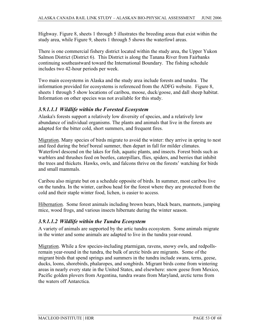Highway. Figure 8, sheets 1 through 5 illustrates the breeding areas that exist within the study area, while Figure 9, sheets 1 through 5 shows the waterfowl areas.

There is one commercial fishery district located within the study area, the Upper Yukon Salmon District (District 6). This District is along the Tanana River from Fairbanks continuing southeastward toward the International Boundary. The fishing schedule includes two 42-hour periods per week.

Two main ecosystems in Alaska and the study area include forests and tundra. The information provided for ecosystems is referenced from the ADFG website. Figure 8, sheets 1 through 5 show locations of caribou, moose, duck/goose, and dall sheep habitat. Information on other species was not available for this study.

## *3.9.1.1.1 Wildlife within the Forested Ecosystem*

Alaska's forests support a relatively low diversity of species, and a relatively low abundance of individual organisms. The plants and animals that live in the forests are adapted for the bitter cold, short summers, and frequent fires.

Migration. Many species of birds migrate to avoid the winter: they arrive in spring to nest and feed during the brief boreal summer, then depart in fall for milder climates. Waterfowl descend on the lakes for fish, aquatic plants, and insects. Forest birds such as warblers and thrushes feed on beetles, caterpillars, flies, spiders, and berries that inhibit the trees and thickets. Hawks, owls, and falcons thrive on the forests' watching for birds and small mammals.

Caribou also migrate but on a schedule opposite of birds. In summer, most caribou live on the tundra. In the winter, caribou head for the forest where they are protected from the cold and their staple winter food, lichen, is easier to access.

Hibernation. Some forest animals including brown bears, black bears, marmots, jumping mice, wood frogs, and various insects hibernate during the winter season.

## *3.9.1.1.2 Wildlife within the Tundra Ecosystem*

A variety of animals are supported by the artic tundra ecosystem. Some animals migrate in the winter and some animals are adapted to live in the tundra year-round.

Migration. While a few species-including ptarmigan, ravens, snowy owls, and redpollsremain year-round in the tundra, the bulk of arctic birds are migrants. Some of the migrant birds that spend springs and summers in the tundra include swans, terns, geese, ducks, loons, shorebirds, phalaropes, and songbirds. Migrant birds come from wintering areas in nearly every state in the United States, and elsewhere: snow geese from Mexico, Pacific golden plovers from Argentina, tundra swans from Maryland, arctic terns from the waters off Antarctica.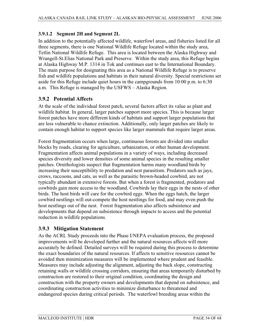## **3.9.1.2 Segment 2H and Segment 2L**

In addition to the potentially affected wildlife, waterfowl areas, and fisheries listed for all three segments, there is one National Wildlife Refuge located within the study area, Tetlin National Wildlife Refuge. This area is located between the Alaska Highway and Wrangell-St.Elias National Park and Preserve. Within the study area, this Refuge begins at Alaska Highway M.P. 1314 in Tok and continues east to the International Boundary. The main purpose for designating this area as a National Wildlife Refuge is to preserve fish and wildlife populations and habitats in their natural diversity. Special restrictions set aside for this Refuge include quiet hours in the campgrounds from 10:00 p.m. to 6:30 a.m. This Refuge is managed by the USFWS – Alaska Region.

## **3.9.2 Potential Affects**

At the scale of the individual forest patch, several factors affect its value as plant and wildlife habitat. In general, larger patches support more species. This is because larger forest patches have more different kinds of habitats and support larger populations that are less vulnerable to chance extinction. Additionally, only larger patches are likely to contain enough habitat to support species like larger mammals that require larger areas.

Forest fragmentation occurs when large, continuous forests are divided into smaller blocks by roads, clearing for agriculture, urbanization, or other human development. Fragmentation affects animal populations in a variety of ways, including decreased species diversity and lower densities of some animal species in the resulting smaller patches. Ornithologists suspect that fragmentation harms many woodland birds by increasing their susceptibility to predation and nest parasitism. Predators such as jays, crows, raccoons, and cats, as well as the parasitic brown-headed cowbird, are not typically abundant in extensive forests. But when a forest is fragmented, predators and cowbirds gain more access to the woodland. Cowbirds lay their eggs in the nests of other birds. The host birds will care for the cowbird eggs. When the eggs hatch, the larger cowbird nestlings will out-compete the host nestlings for food, and may even push the host nestlings out of the nest. Forest fragmentation also affects subsistence and developments that depend on subsistence through impacts to access and the potential reduction in wildlife populations.

## **3.9.3 Mitigation Statement**

As the ACRL Study proceeds into the Phase I/NEPA evaluation process, the proposed improvements will be developed further and the natural resources affects will more accurately be defined. Detailed surveys will be required during this process to determine the exact boundaries of the natural resources. If affects to sensitive resources cannot be avoided then minimization measures will be implemented where prudent and feasible. Measures may include adjusting the alignment, adjusting the back slope, constructing retaining walls or wildlife crossing corridors, ensuring that areas temporarily disturbed by construction are restored to their original condition, coordinating the design and construction with the property owners and developments that depend on subsistence, and coordinating construction activities to minimize disturbance to threatened and endangered species during critical periods. The waterfowl breeding areas within the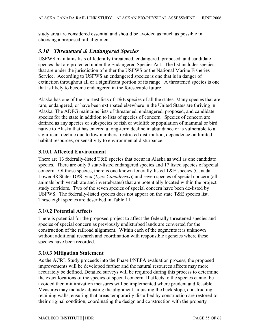study area are considered essential and should be avoided as much as possible in choosing a proposed rail alignment.

## *3.10 Threatened & Endangered Species*

USFWS maintains lists of federally threatened, endangered, proposed, and candidate species that are protected under the Endangered Species Act. The list includes species that are under the jurisdiction of either the USFWS or the National Marine Fisheries Service. According to USFWS an endangered species is one that is in danger of extinction throughout all or a significant portion of its range. A threatened species is one that is likely to become endangered in the foreseeable future.

Alaska has one of the shortest lists of T&E species of all the states. Many species that are rare, endangered, or have been extirpated elsewhere in the United States are thriving in Alaska. The ADFG maintains lists of threatened, endangered, proposed, and candidate species for the state in addition to lists of species of concern. Species of concern are defined as any species or subspecies of fish or wildlife or population of mammal or bird native to Alaska that has entered a long-term decline in abundance or is vulnerable to a significant decline due to low numbers, restricted distribution, dependence on limited habitat resources, or sensitivity to environmental disturbance.

## **3.10.1 Affected Environment**

There are 13 federally-listed T&E species that occur in Alaska as well as one candidate species. There are only 5 state-listed endangered species and 17 listed species of special concern. Of those species, there is one known federally-listed T&E species (Canada Lower 48 States DPS lynx (*Lynx Canadensis*)) and seven species of special concern (all animals both vertebrate and invertebrates) that are potentially located within the project study corridors. Two of the seven species of special concern have been de-listed by USFWS. The federally-listed species does not appear on the state T&E species list. These eight species are described in Table 11.

## **3.10.2 Potential Affects**

There is potential for the proposed project to affect the federally threatened species and species of special concern as previously undisturbed lands are converted for the construction of the railroad alignment. Within each of the segments it is unknown without additional research and coordination with responsible agencies where these species have been recorded.

## **3.10.3 Mitigation Statement**

As the ACRL Study proceeds into the Phase I/NEPA evaluation process, the proposed improvements will be developed further and the natural resources affects may more accurately be defined. Detailed surveys will be required during this process to determine the exact locations of the species of special concern. If affects to the species cannot be avoided then minimization measures will be implemented where prudent and feasible. Measures may include adjusting the alignment, adjusting the back slope, constructing retaining walls, ensuring that areas temporarily disturbed by construction are restored to their original condition, coordinating the design and construction with the property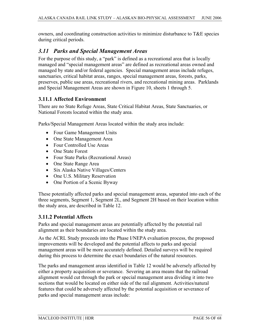owners, and coordinating construction activities to minimize disturbance to T&E species during critical periods.

## *3.11 Parks and Special Management Areas*

For the purpose of this study, a "park" is defined as a recreational area that is locally managed and "special management areas" are defined as recreational areas owned and managed by state and/or federal agencies. Special management areas include refuges, sanctuaries, critical habitat areas, ranges, special management areas, forests, parks, preserves, public use areas, recreational rivers, and recreational mining areas. Parklands and Special Management Areas are shown in Figure 10, sheets 1 through 5.

#### **3.11.1 Affected Environment**

There are no State Refuge Areas, State Critical Habitat Areas, State Sanctuaries, or National Forests located within the study area.

Parks/Special Management Areas located within the study area include:

- Four Game Management Units
- One State Management Area
- Four Controlled Use Areas
- One State Forest
- Four State Parks (Recreational Areas)
- One State Range Area
- Six Alaska Native Villages/Centers
- One U.S. Military Reservation
- One Portion of a Scenic Byway

These potentially affected parks and special management areas, separated into each of the three segments, Segment 1, Segment 2L, and Segment 2H based on their location within the study area, are described in Table 12.

#### **3.11.2 Potential Affects**

Parks and special management areas are potentially affected by the potential rail alignment as their boundaries are located within the study area.

As the ACRL Study proceeds into the Phase I/NEPA evaluation process, the proposed improvements will be developed and the potential affects to parks and special management areas will be more accurately defined. Detailed surveys will be required during this process to determine the exact boundaries of the natural resources.

The parks and management areas identified in Table 12 would be adversely affected by either a property acquisition or severance. Severing an area means that the railroad alignment would cut through the park or special management area dividing it into two sections that would be located on either side of the rail alignment. Activities/natural features that could be adversely affected by the potential acquisition or severance of parks and special management areas include: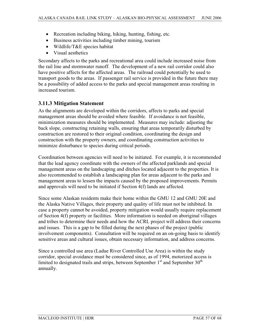- Recreation including biking, hiking, hunting, fishing, etc.
- Business activities including timber mining, tourism
- $\bullet$  Wildlife/T&E species habitat
- Visual aesthetics

Secondary affects to the parks and recreational area could include increased noise from the rail line and stormwater runoff. The development of a new rail corridor could also have positive affects for the affected areas. The railroad could potentially be used to transport goods to the areas. If passenger rail service is provided in the future there may be a possibility of added access to the parks and special management areas resulting in increased tourism.

## **3.11.3 Mitigation Statement**

As the alignments are developed within the corridors, affects to parks and special management areas should be avoided where feasible. If avoidance is not feasible, minimization measures should be implemented. Measures may include: adjusting the back slope, constructing retaining walls, ensuring that areas temporarily disturbed by construction are restored to their original condition, coordinating the design and construction with the property owners, and coordinating construction activities to minimize disturbance to species during critical periods.

Coordination between agencies will need to be initiated. For example, it is recommended that the lead agency coordinate with the owners of the affected parklands and special management areas on the landscaping and ditches located adjacent to the properties. It is also recommended to establish a landscaping plan for areas adjacent to the parks and management areas to lessen the impacts caused by the proposed improvements. Permits and approvals will need to be initiated if Section 4(f) lands are affected.

Since some Alaskan residents make their home within the GMU 12 and GMU 20E and the Alaska Native Villages, their property and quality of life must not be inhibited. In case a property cannot be avoided, property mitigation would usually require replacement of Section 4(f) property or facilities. More information is needed on aboriginal villages and tribes to determine their needs and how the ACRL project will address their concerns and issues. This is a gap to be filled during the next phases of the project (public involvement components). Consultation will be required on an on-going basis to identify sensitive areas and cultural issues, obtain necessary information, and address concerns.

Since a controlled use area (Ladue River Controlled Use Area) is within the study corridor, special avoidance must be considered since, as of 1994, motorized access is limited to designated trails and strips, between September  $1<sup>st</sup>$  and September  $30<sup>th</sup>$ annually.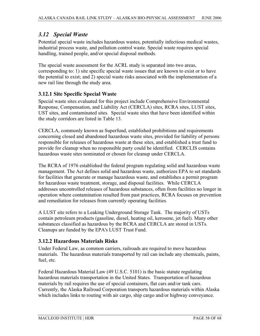## *3.12 Special Waste*

Potential special waste includes hazardous wastes, potentially infectious medical wastes, industrial process waste, and pollution control waste. Special waste requires special handling, trained people, and/or special disposal methods.

The special waste assessment for the ACRL study is separated into two areas, corresponding to: 1) site specific special waste issues that are known to exist or to have the potential to exist; and 2) special waste risks associated with the implementation of a new rail line through the study area.

## **3.12.1 Site Specific Special Waste**

Special waste sites evaluated for this project include Comprehensive Environmental Response, Compensation, and Liability Act (CERCLA) sites, RCRA sites, LUST sites, UST sites, and contaminated sites. Special waste sites that have been identified within the study corridors are listed in Table 13.

CERCLA, commonly known as Superfund, established prohibitions and requirements concerning closed and abandoned hazardous waste sites, provided for liability of persons responsible for releases of hazardous waste at these sites, and established a trust fund to provide for cleanup when no responsible party could be identified. CERCLIS contains hazardous waste sites nominated or chosen for cleanup under CERCLA.

The RCRA of 1976 established the federal program regulating solid and hazardous waste management. The Act defines solid and hazardous waste, authorizes EPA to set standards for facilities that generate or manage hazardous waste, and establishes a permit program for hazardous waste treatment, storage, and disposal facilities. While CERCLA addresses uncontrolled releases of hazardous substances, often from facilities no longer in operation where contamination resulted from past practices, RCRA focuses on prevention and remediation for releases from currently operating facilities.

A LUST site refers to a Leaking Underground Storage Tank. The majority of USTs contain petroleum products (gasoline, diesel, heating oil, kerosene, jet fuel). Many other substances classified as hazardous by the RCRA and CERCLA are stored in USTs. Cleanups are funded by the EPA's LUST Trust Fund.

## **3.12.2 Hazardous Materials Risks**

Under Federal Law, as common carriers, railroads are required to move hazardous materials. The hazardous materials transported by rail can include any chemicals, paints, fuel, etc.

Federal Hazardous Material Law (49 U.S.C. 5101) is the basic statute regulating hazardous materials transportation in the United States. Transportation of hazardous materials by rail requires the use of special containers, flat cars and/or tank cars. Currently, the Alaska Railroad Corporation transports hazardous materials within Alaska which includes links to routing with air cargo, ship cargo and/or highway conveyance.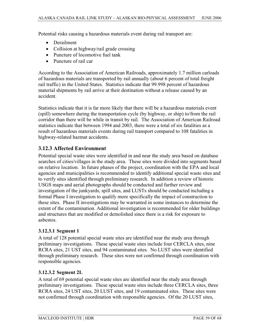Potential risks causing a hazardous materials event during rail transport are:

- Derailment
- Collision at highway/rail grade crossing
- $\bullet$  Puncture of locomotive fuel tank
- Puncture of rail car

According to the Association of American Railroads, approximately 1.7 million carloads of hazardous materials are transported by rail annually (about 6 percent of total freight rail traffic) in the United States. Statistics indicate that 99.998 percent of hazardous material shipments by rail arrive at their destination without a release caused by an accident.

Statistics indicate that it is far more likely that there will be a hazardous materials event (spill) somewhere during the transportation cycle (by highway, or ship) to/from the rail corridor than there will be while in transit by rail. The Association of American Railroad statistics indicate that between 1994 and 2003, there were a total of six fatalities as a result of hazardous materials events during rail transport compared to 108 fatalities in highway-related hazmat accidents.

#### **3.12.3 Affected Environment**

Potential special waste sites were identified in and near the study area based on database searches of cities/villages in the study area. These sites were divided into segments based on relative location. In future phases of the project, coordination with the EPA and local agencies and municipalities is recommended to identify additional special waste sites and to verify sites identified through preliminary research. In addition a review of historic USGS maps and aerial photographs should be conducted and further review and investigation of the junkyards, spill sites, and LUSTs should be conducted including a formal Phase I investigation to qualify more specifically the impact of construction to these sites. Phase II investigations may be warranted in some instances to determine the extent of the contamination. Additional investigation is recommended for older buildings and structures that are modified or demolished since there is a risk for exposure to asbestos.

#### **3.12.3.1 Segment 1**

A total of 128 potential special waste sites are identified near the study area through preliminary investigations. These special waste sites include four CERCLA sites, nine RCRA sites, 21 UST sites, and 94 contaminated sites. No LUST sites were identified through preliminary research. These sites were not confirmed through coordination with responsible agencies.

#### **3.12.3.2 Segment 2L**

A total of 69 potential special waste sites are identified near the study area through preliminary investigations. These special waste sites include three CERCLA sites, three RCRA sites, 24 UST sites, 20 LUST sites, and 19 contaminated sites. These sites were not confirmed through coordination with responsible agencies. Of the 20 LUST sites,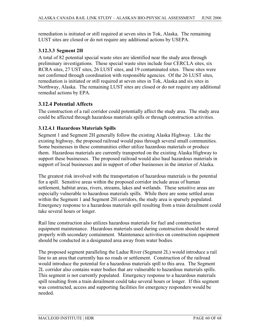remediation is initiated or still required at seven sites in Tok, Alaska. The remaining LUST sites are closed or do not require any additional actions by USEPA.

#### **3.12.3.3 Segment 2H**

A total of 82 potential special waste sites are identified near the study area through preliminary investigations. These special waste sites include four CERCLA sites, six RCRA sites, 27 UST sites, 26 LUST sites, and 19 contaminated sites. These sites were not confirmed through coordination with responsible agencies. Of the 26 LUST sites, remediation is initiated or still required at seven sites in Tok, Alaska and six sites in Northway, Alaska. The remaining LUST sites are closed or do not require any additional remedial actions by EPA.

#### **3.12.4 Potential Affects**

The construction of a rail corridor could potentially affect the study area. The study area could be affected through hazardous materials spills or through construction activities.

#### **3.12.4.1 Hazardous Materials Spills**

Segment 1 and Segment 2H generally follow the existing Alaska Highway. Like the existing highway, the proposed railroad would pass through several small communities. Some businesses in these communities either utilize hazardous materials or produce them. Hazardous materials are currently transported on the existing Alaska Highway to support these businesses. The proposed railroad would also haul hazardous materials in support of local businesses and in support of other businesses in the interior of Alaska.

The greatest risk involved with the transportation of hazardous materials is the potential for a spill. Sensitive areas within the proposed corridor include areas of human settlement, habitat areas, rivers, streams, lakes and wetlands. These sensitive areas are especially vulnerable to hazardous materials spills. While there are some settled areas within the Segment 1 and Segment 2H corridors, the study area is sparsely populated. Emergency response to a hazardous materials spill resulting from a train derailment could take several hours or longer.

Rail line construction also utilizes hazardous materials for fuel and construction equipment maintenance. Hazardous materials used during construction should be stored properly with secondary containment. Maintenance activities on construction equipment should be conducted in a designated area away from water bodies.

The proposed segment paralleling the Ladue River (Segment 2L) would introduce a rail line to an area that currently has no roads or settlement. Construction of the railroad would introduce the potential for a hazardous materials spill to this area. The Segment 2L corridor also contains water bodies that are vulnerable to hazardous materials spills. This segment is not currently populated. Emergency response to a hazardous materials spill resulting from a train derailment could take several hours or longer. If this segment was constructed, access and supporting facilities for emergency responders would be needed.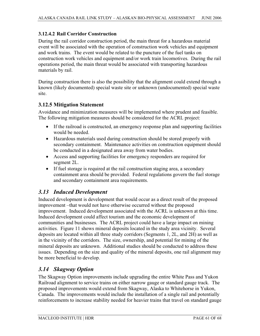#### **3.12.4.2 Rail Corridor Construction**

During the rail corridor construction period, the main threat for a hazardous material event will be associated with the operation of construction work vehicles and equipment and work trains. The event would be related to the puncture of the fuel tanks on construction work vehicles and equipment and/or work train locomotives. During the rail operations period, the main threat would be associated with transporting hazardous materials by rail.

During construction there is also the possibility that the alignment could extend through a known (likely documented) special waste site or unknown (undocumented) special waste site.

#### **3.12.5 Mitigation Statement**

Avoidance and minimization measures will be implemented where prudent and feasible. The following mitigation measures should be considered for the ACRL project:

- If the railroad is constructed, an emergency response plan and supporting facilities would be needed.
- x Hazardous materials used during construction should be stored properly with secondary containment. Maintenance activities on construction equipment should be conducted in a designated area away from water bodies.
- Access and supporting facilities for emergency responders are required for segment 2L.
- If fuel storage is required at the rail construction staging area, a secondary containment area should be provided. Federal regulations govern the fuel storage and secondary containment area requirements.

## *3.13 Induced Development*

Induced development is development that would occur as a direct result of the proposed improvement –that would not have otherwise occurred without the proposed improvement. Induced development associated with the ACRL is unknown at this time. Induced development could affect tourism and the economic development of communities and businesses. The ACRL project could have a large impact on mining activities. Figure 11 shows mineral deposits located in the study area vicinity. Several deposits are located within all three study corridors (Segments 1, 2L, and 2H) as well as in the vicinity of the corridors. The size, ownership, and potential for mining of the mineral deposits are unknown. Additional studies should be conducted to address these issues. Depending on the size and quality of the mineral deposits, one rail alignment may be more beneficial to develop.

## *3.14 Skagway Option*

The Skagway Option improvements include upgrading the entire White Pass and Yukon Railroad alignment to service trains on either narrow gauge or standard gauge track. The proposed improvements would extend from Skagway, Alaska to Whitehorse in Yukon, Canada. The improvements would include the installation of a single rail and potentially reinforcements to increase stability needed for heavier trains that travel on standard gauge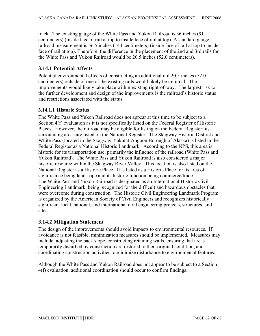track. The existing gauge of the White Pass and Yukon Railroad is 36 inches (91 centimeters) (inside face of rail at top to inside face of rail at top). A standard gauge railroad measurement is 56.5 inches (144 centimeters) (inside face of rail at top to inside face of rail at top). Therefore, the difference in the placement of the 2nd and 3rd rails for the White Pass and Yukon Railroad would be 20.5 inches (52.0 centimeters).

## **3.14.1 Potential Affects**

Potential environmental effects of constructing an additional rail 20.5 inches (52.0 centimeters) outside of one of the existing rails would likely be minimal. The improvements would likely take place within existing right-of-way. The largest risk to the further development and design of the improvements is the railroad's historic status and restrictions associated with the status.

#### **3.14.1.1 Historic Status**

The White Pass and Yukon Railroad does not appear at this time to be subject to a Section 4(f) evaluation as it is not specifically listed on the Federal Register of Historic Places. However, the railroad may be eligible for listing on the Federal Register; its surrounding areas are listed on the National Register. The Skagway Historic District and White Pass (located in the Skagway-Yakutat-Angoon Borough of Alaska) is listed in the Federal Register as a National Historic Landmark. According to the NPS, this area is historic for its transportation use, primarily the influence of the railroad (White Pass and Yukon Railroad). The White Pass and Yukon Railroad is also considered a major historic resource within the Skagway River Valley. This location is also listed on the National Register as a Historic Place. It is listed as a Historic Place for its area of significance being landscape and its historic function being commerce/trade. The White Pass and Yukon Railroad is designated as an International Historic Civil Engineering Landmark, being recognized for the difficult and hazardous obstacles that were overcome during construction. The Historic Civil Engineering Landmark Program is organized by the American Society of Civil Engineers and recognizes historically significant local, national, and international civil engineering projects, structures, and sites.

## **3.14.2 Mitigation Statement**

The design of the improvements should avoid impacts to environmental resources. If avoidance is not feasible, minimization measures should be implemented. Measures may include: adjusting the back slope, constructing retaining walls, ensuring that areas temporarily disturbed by construction are restored to their original condition, and coordinating construction activities to minimize disturbance to environmental features.

Although the White Pass and Yukon Railroad does not appear to be subject to a Section 4(f) evaluation, additional coordination should occur to confirm findings.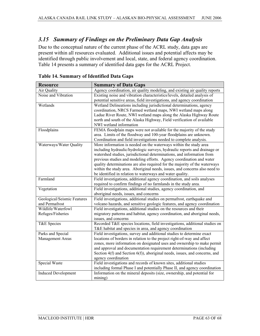## *3.15 Summary of Findings on the Preliminary Data Gap Analysis*

Due to the conceptual nature of the current phase of the ACRL study, data gaps are present within all resources evaluated. Additional issues and potential affects may be identified through public involvement and local, state, and federal agency coordination. Table 14 presents a summary of identified data gaps for the ACRL Project.

| <b>Resource</b>                      | <b>Summary of Data Gaps</b>                                                                         |  |  |
|--------------------------------------|-----------------------------------------------------------------------------------------------------|--|--|
| Air Quality                          | Agency coordination, air quality modeling, and existing air quality reports                         |  |  |
| Noise and Vibration                  | Existing noise and vibration characteristics/levels, detailed analysis of                           |  |  |
|                                      | potential sensitive areas, field investigations, and agency coordination                            |  |  |
| Wetlands                             | Wetland Delineations including jurisdictional determinations, agency                                |  |  |
|                                      | coordination, NRCS Farmed wetland maps, NWI wetland maps along                                      |  |  |
|                                      | Ladue River Route, NWI wetland maps along the Alaska Highway Route                                  |  |  |
|                                      | north and south of the Alaska Highway, Field verification of available                              |  |  |
|                                      | NWI wetland information                                                                             |  |  |
| Floodplains                          | FEMA floodplain maps were not available for the majority of the study                               |  |  |
|                                      | area. Limits of the floodway and 100-year floodplains are unknown.                                  |  |  |
|                                      | Coordination and field investigations needed to complete analysis.                                  |  |  |
| Waterways/Water Quality              | More information is needed on the waterways within the study area                                   |  |  |
|                                      | including hydraulic/hydrologic surveys, hydraulic reports and drainage or                           |  |  |
|                                      | watershed studies, jurisdictional determinations, and information from                              |  |  |
|                                      | previous studies and modeling efforts. Agency coordination and water                                |  |  |
|                                      | quality determinations are also required for the majority of the waterways                          |  |  |
|                                      | within the study area. Aboriginal needs, issues, and concerns also need to                          |  |  |
|                                      | be identified in relation to waterways and water quality.                                           |  |  |
| Farmland                             | Field investigations, additional agency coordination, and soils analyses                            |  |  |
|                                      | required to confirm findings of no farmlands in the study area.                                     |  |  |
| Vegetation                           | Field investigations, additional studies, agency coordination, and                                  |  |  |
|                                      | aboriginal needs, issues, and concerns                                                              |  |  |
| Geological/Seismic Features          | Field investigations, additional studies on permafrost, earthquake and                              |  |  |
| and Permafrost<br>Wildlife/Waterfowl | volcano hazards, and sensitive geologic features, and agency coordination                           |  |  |
|                                      | Field investigations, additional studies on the resources and their                                 |  |  |
| Refuges/Fisheries                    | migratory patterns and habitat, agency coordination, and aboriginal needs,                          |  |  |
| T&E Species                          | issues, and concerns<br>Recorded T&E species locations, field investigations, additional studies on |  |  |
|                                      | T&E habitat and species in area, and agency coordination                                            |  |  |
| Parks and Special                    | Field investigations, survey and additional studies to determine exact                              |  |  |
| Management Areas                     | locations of borders in relation to the project right-of-way and affect                             |  |  |
|                                      | zones, more information on designated uses and ownership to make permit                             |  |  |
|                                      | and approval and documentation requirement determinations (including                                |  |  |
|                                      | Section 4(f) and Section 6(f)), aboriginal needs, issues, and concerns, and                         |  |  |
|                                      | agency coordination                                                                                 |  |  |
| Special Waste                        | Field investigations and records of known sites, additional studies                                 |  |  |
|                                      | including formal Phase I and potentially Phase II, and agency coordination                          |  |  |
| <b>Induced Development</b>           | Information on the mineral deposits (size, ownership, and potential for                             |  |  |
|                                      | mining)                                                                                             |  |  |
|                                      |                                                                                                     |  |  |

**Table 14. Summary of Identified Data Gaps**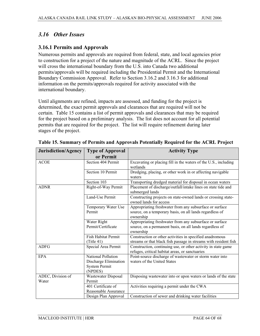## *3.16 Other Issues*

## **3.16.1 Permits and Approvals**

Numerous permits and approvals are required from federal, state, and local agencies prior to construction for a project of the nature and magnitude of the ACRL. Since the project will cross the international boundary from the U.S. into Canada two additional permits/approvals will be required including the Presidential Permit and the International Boundary Commission Approval. Refer to Section 3.16.2 and 3.16.3 for additional information on the permits/approvals required for activity associated with the international boundary.

Until alignments are refined, impacts are assessed, and funding for the project is determined, the exact permit approvals and clearances that are required will not be certain. Table 15 contains a list of permit approvals and clearances that may be required for the project based on a preliminary analysis. The list does not account for all potential permits that are required for the project. The list will require refinement during later stages of the project.

| Jurisdiction/Agency        | <b>Type of Approval</b><br>or Permit                                    | <b>Activity Type</b>                                                                                                             |  |
|----------------------------|-------------------------------------------------------------------------|----------------------------------------------------------------------------------------------------------------------------------|--|
| <b>ACOE</b>                | Section 404 Permit                                                      | Excavating or placing fill in the waters of the U.S., including<br>wetlands                                                      |  |
|                            | Section 10 Permit                                                       | Dredging, placing, or other work in or affecting navigable<br>waters                                                             |  |
|                            | Section 103                                                             | Transporting dredged material for disposal in ocean waters                                                                       |  |
| <b>ADNR</b>                | Right-of-Way Permit                                                     | Placement of discharge/outfall/intake lines on state tide and<br>submerged lands                                                 |  |
|                            | Land-Use Permit                                                         | Constructing projects on state-owned lands or crossing state-<br>owned lands for access                                          |  |
|                            | Temporary Water Use<br>Permit                                           | Appropriating freshwater from any subsurface or surface<br>source, on a temporary basis, on all lands regardless of<br>ownership |  |
|                            | Water Right<br>Permit/Certificate                                       | Appropriating freshwater from any subsurface or surface<br>source, on a permanent basis, on all lands regardless of<br>ownership |  |
|                            | <b>Fish Habitat Permit</b><br>(Title 41)                                | Construction or other activities in specified anadromous<br>streams or that black fish passage in streams with resident fish     |  |
| <b>ADFG</b>                | Special Area Permit                                                     | Construction, continuing use, or other activity in state game<br>refuges, critical habitat areas, or sanctuaries                 |  |
| <b>EPA</b>                 | National Pollution<br>Discharge Elimination<br>System Permit<br>(NPDES) | Point-source discharge of wastewater or storm water into<br>waters of the United States                                          |  |
| ADEC, Division of<br>Water | <b>Wastewater Disposal</b><br>Permit                                    | Disposing wastewater into or upon waters or lands of the state                                                                   |  |
|                            | 401 Certificate of<br>Reasonable Assurance                              | Activities requiring a permit under the CWA                                                                                      |  |
|                            | Design Plan Approval                                                    | Construction of sewer and drinking water facilities                                                                              |  |

**Table 15. Summary of Permits and Approvals Potentially Required for the ACRL Project**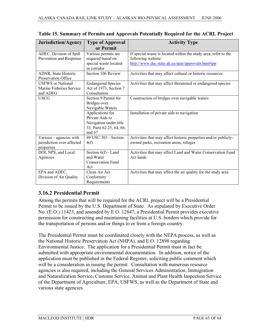| Jurisdiction/Agency                                                 | <b>Type of Approval</b>                                                                             | <b>Activity Type</b>                                                                                                                       |  |
|---------------------------------------------------------------------|-----------------------------------------------------------------------------------------------------|--------------------------------------------------------------------------------------------------------------------------------------------|--|
|                                                                     | or Permit                                                                                           |                                                                                                                                            |  |
| ADEC, Division of Spill<br>Prevention and Response                  | Various permits are<br>required based on<br>special waste located<br>in corridor                    | If special waste is located within the study area, refer to the<br>following website:<br>http://www.dec.state.ak.us/spar/approvals.htm#ipp |  |
| ADNR, State Historic<br>Preservation Office                         | Section 106 Review                                                                                  | Activities that may affect cultural or historic resources                                                                                  |  |
| <b>USFWS</b> or National<br>Marine Fisheries Service<br>and ADFG    | <b>Endangered Species</b><br>Act of 1973, Section 7<br>Consultation                                 | Activities that may affect threatened or endangered species                                                                                |  |
| <b>USCG</b>                                                         | Section 9 Permit for<br>Bridges over<br>Navigable Waters                                            | Construction of bridges over navigable waters                                                                                              |  |
|                                                                     | Applications for<br>Private Aids to<br>Navigation under title<br>33, Parts 62.25, 64, 66,<br>and 67 | Installation of private aids to navigation                                                                                                 |  |
| Various - agencies with<br>jurisdiction over affected<br>properties | 49 USC 303 - Section<br>4(f)                                                                        | Activities that may affect historic properties and/or publicly-<br>owned parks, recreation areas, refuges                                  |  |
| DOI, NPS, and Local<br>Agencies                                     | Section $6(f)$ - Land<br>and Water<br><b>Conservation Fund</b><br>Act                               | Activities that may affect Land and Water Conservation Fund<br>Act lands                                                                   |  |
| EPA and ADEC,<br>Division of Air Quality                            | Clean Air Act<br>Conformity<br>Requirements                                                         | Activities that may affect the air quality for the study area                                                                              |  |

|  |  | Table 15. Summary of Permits and Approvals Potentially Required for the ACRL Project |  |  |
|--|--|--------------------------------------------------------------------------------------|--|--|
|--|--|--------------------------------------------------------------------------------------|--|--|

## **3.16.2 Presidential Permit**

Among the permits that will be required for the ACRL project will be a Presidential Permit to be issued by the U.S. Department of State. As stipulated by Executive Order No. (E.O.) 11423, and amended by E.O. 12847, a Presidential Permit provides executive permission for constructing and maintaining facilities at U.S. borders which provide for the transportation of persons and/or things to or from a foreign country.

The Presidential Permit must be coordinated closely with the NEPA process, as well as the National Historic Preservation Act (NHPA), and E.O. 12898 regarding Environmental Justice. The application for a Presidential Permit must in fact be submitted with appropriate environmental documentation. In addition, notice of the application must be published in the Federal Register, soliciting public comment which will be a consideration in issuing the permit. Consultation with numerous resource agencies is also required, including the General Services Administration, Immigration and Naturalization Service, Customs Service, Animal and Plant Health Inspection Service of the Department of Agriculture, EPA, USFWS, as well as the Department of State and various state agencies.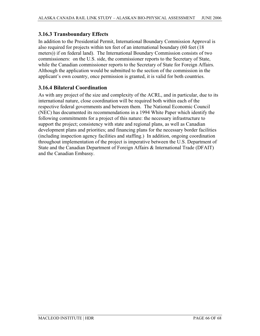## **3.16.3 Transboundary Effects**

In addition to the Presidential Permit, International Boundary Commission Approval is also required for projects within ten feet of an international boundary (60 feet (18 meters)) if on federal land). The International Boundary Commission consists of two commissioners: on the U.S. side, the commissioner reports to the Secretary of State, while the Canadian commissioner reports to the Secretary of State for Foreign Affairs. Although the application would be submitted to the section of the commission in the applicant's own country, once permission is granted, it is valid for both countries.

#### **3.16.4 Bilateral Coordination**

As with any project of the size and complexity of the ACRL, and in particular, due to its international nature, close coordination will be required both within each of the respective federal governments and between them. The National Economic Council (NEC) has documented its recommendations in a 1994 White Paper which identify the following commitments for a project of this nature: the necessary infrastructure to support the project; consistency with state and regional plans, as well as Canadian development plans and priorities; and financing plans for the necessary border facilities (including inspection agency facilities and staffing.) In addition, ongoing coordination throughout implementation of the project is imperative between the U.S. Department of State and the Canadian Department of Foreign Affairs & International Trade (DFAIT) and the Canadian Embassy.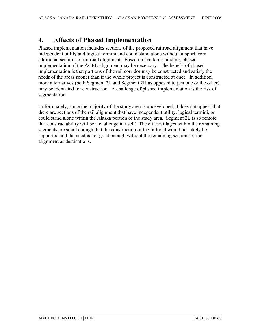## **4. Affects of Phased Implementation**

Phased implementation includes sections of the proposed railroad alignment that have independent utility and logical termini and could stand alone without support from additional sections of railroad alignment. Based on available funding, phased implementation of the ACRL alignment may be necessary. The benefit of phased implementation is that portions of the rail corridor may be constructed and satisfy the needs of the areas sooner than if the whole project is constructed at once. In addition, more alternatives (both Segment 2L and Segment 2H as opposed to just one or the other) may be identified for construction. A challenge of phased implementation is the risk of segmentation.

Unfortunately, since the majority of the study area is undeveloped, it does not appear that there are sections of the rail alignment that have independent utility, logical termini, or could stand alone within the Alaska portion of the study area. Segment 2L is so remote that constructability will be a challenge in itself. The cities/villages within the remaining segments are small enough that the construction of the railroad would not likely be supported and the need is not great enough without the remaining sections of the alignment as destinations.